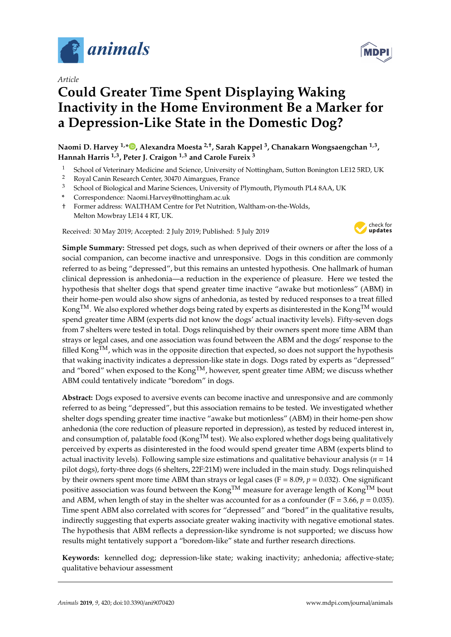

*Article*

# **Could Greater Time Spent Displaying Waking Inactivity in the Home Environment Be a Marker for a Depression-Like State in the Domestic Dog?**

**Naomi D. Harvey 1,[\\*](https://orcid.org/0000-0002-9208-7734) , Alexandra Moesta 2,**† **, Sarah Kappel <sup>3</sup> , Chanakarn Wongsaengchan 1,3 , Hannah Harris 1,3, Peter J. Craigon 1,3 and Carole Fureix <sup>3</sup>**

- <sup>1</sup> School of Veterinary Medicine and Science, University of Nottingham, Sutton Bonington LE12 5RD, UK<br><sup>2</sup> Paul Capin Bassaul: Captan 20470 Aimagnuss France
- <sup>2</sup> Royal Canin Research Center, 30470 Aimargues, France<br><sup>3</sup> School of Biological and Marino Sciences, University of
- <sup>3</sup> School of Biological and Marine Sciences, University of Plymouth, Plymouth PL4 8AA, UK
- **\*** Correspondence: Naomi.Harvey@nottingham.ac.uk
- † Former address: WALTHAM Centre for Pet Nutrition, Waltham-on-the-Wolds, Melton Mowbray LE14 4 RT, UK.

Received: 30 May 2019; Accepted: 2 July 2019; Published: 5 July 2019



**Simple Summary:** Stressed pet dogs, such as when deprived of their owners or after the loss of a social companion, can become inactive and unresponsive. Dogs in this condition are commonly referred to as being "depressed", but this remains an untested hypothesis. One hallmark of human clinical depression is anhedonia—a reduction in the experience of pleasure. Here we tested the hypothesis that shelter dogs that spend greater time inactive "awake but motionless" (ABM) in their home-pen would also show signs of anhedonia, as tested by reduced responses to a treat filled Kong<sup>TM</sup>. We also explored whether dogs being rated by experts as disinterested in the Kong<sup>TM</sup> would spend greater time ABM (experts did not know the dogs' actual inactivity levels). Fifty-seven dogs from 7 shelters were tested in total. Dogs relinquished by their owners spent more time ABM than strays or legal cases, and one association was found between the ABM and the dogs' response to the filled Kong<sup>TM</sup>, which was in the opposite direction that expected, so does not support the hypothesis that waking inactivity indicates a depression-like state in dogs. Dogs rated by experts as "depressed" and "bored" when exposed to the Kong<sup>TM</sup>, however, spent greater time ABM; we discuss whether ABM could tentatively indicate "boredom" in dogs.

**Abstract:** Dogs exposed to aversive events can become inactive and unresponsive and are commonly referred to as being "depressed", but this association remains to be tested. We investigated whether shelter dogs spending greater time inactive "awake but motionless" (ABM) in their home-pen show anhedonia (the core reduction of pleasure reported in depression), as tested by reduced interest in, and consumption of, palatable food (Kong<sup>TM</sup> test). We also explored whether dogs being qualitatively perceived by experts as disinterested in the food would spend greater time ABM (experts blind to actual inactivity levels). Following sample size estimations and qualitative behaviour analysis (*n* = 14 pilot dogs), forty-three dogs (6 shelters, 22F:21M) were included in the main study. Dogs relinquished by their owners spent more time ABM than strays or legal cases ( $F = 8.09$ ,  $p = 0.032$ ). One significant positive association was found between the Kong<sup>TM</sup> measure for average length of Kong<sup>TM</sup> bout and ABM, when length of stay in the shelter was accounted for as a confounder ( $F = 3.66$ ,  $p = 0.035$ ). Time spent ABM also correlated with scores for "depressed" and "bored" in the qualitative results, indirectly suggesting that experts associate greater waking inactivity with negative emotional states. The hypothesis that ABM reflects a depression-like syndrome is not supported; we discuss how results might tentatively support a "boredom-like" state and further research directions.

**Keywords:** kennelled dog; depression-like state; waking inactivity; anhedonia; affective-state; qualitative behaviour assessment

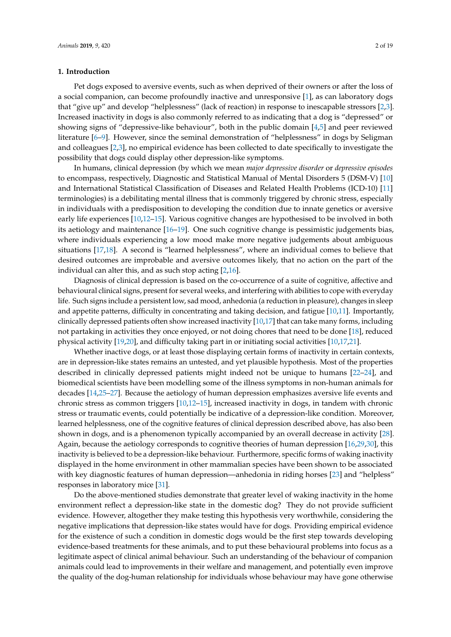# **1. Introduction**

Pet dogs exposed to aversive events, such as when deprived of their owners or after the loss of a social companion, can become profoundly inactive and unresponsive [\[1\]](#page-15-0), as can laboratory dogs that "give up" and develop "helplessness" (lack of reaction) in response to inescapable stressors [\[2](#page-15-1)[,3\]](#page-15-2). Increased inactivity in dogs is also commonly referred to as indicating that a dog is "depressed" or showing signs of "depressive-like behaviour", both in the public domain [\[4,](#page-15-3)[5\]](#page-15-4) and peer reviewed literature [\[6](#page-15-5)[–9\]](#page-15-6). However, since the seminal demonstration of "helplessness" in dogs by Seligman and colleagues [\[2,](#page-15-1)[3\]](#page-15-2), no empirical evidence has been collected to date specifically to investigate the possibility that dogs could display other depression-like symptoms.

In humans, clinical depression (by which we mean *major depressive disorder* or *depressive episodes* to encompass, respectively, Diagnostic and Statistical Manual of Mental Disorders 5 (DSM-V) [\[10\]](#page-15-7) and International Statistical Classification of Diseases and Related Health Problems (ICD-10) [\[11\]](#page-15-8) terminologies) is a debilitating mental illness that is commonly triggered by chronic stress, especially in individuals with a predisposition to developing the condition due to innate genetics or aversive early life experiences [\[10,](#page-15-7)[12–](#page-15-9)[15\]](#page-16-0). Various cognitive changes are hypothesised to be involved in both its aetiology and maintenance [\[16](#page-16-1)[–19\]](#page-16-2). One such cognitive change is pessimistic judgements bias, where individuals experiencing a low mood make more negative judgements about ambiguous situations [\[17,](#page-16-3)[18\]](#page-16-4). A second is "learned helplessness", where an individual comes to believe that desired outcomes are improbable and aversive outcomes likely, that no action on the part of the individual can alter this, and as such stop acting [\[2](#page-15-1)[,16\]](#page-16-1).

Diagnosis of clinical depression is based on the co-occurrence of a suite of cognitive, affective and behavioural clinical signs, present for several weeks, and interfering with abilities to cope with everyday life. Such signs include a persistent low, sad mood, anhedonia (a reduction in pleasure), changes in sleep and appetite patterns, difficulty in concentrating and taking decision, and fatigue [\[10,](#page-15-7)[11\]](#page-15-8). Importantly, clinically depressed patients often show increased inactivity [\[10,](#page-15-7)[17\]](#page-16-3) that can take many forms, including not partaking in activities they once enjoyed, or not doing chores that need to be done [\[18\]](#page-16-4), reduced physical activity [\[19,](#page-16-2)[20\]](#page-16-5), and difficulty taking part in or initiating social activities [\[10,](#page-15-7)[17,](#page-16-3)[21\]](#page-16-6).

Whether inactive dogs, or at least those displaying certain forms of inactivity in certain contexts, are in depression-like states remains an untested, and yet plausible hypothesis. Most of the properties described in clinically depressed patients might indeed not be unique to humans [\[22–](#page-16-7)[24\]](#page-16-8), and biomedical scientists have been modelling some of the illness symptoms in non-human animals for decades [\[14,](#page-16-9)[25–](#page-16-10)[27\]](#page-16-11). Because the aetiology of human depression emphasizes aversive life events and chronic stress as common triggers [\[10](#page-15-7)[,12–](#page-15-9)[15\]](#page-16-0), increased inactivity in dogs, in tandem with chronic stress or traumatic events, could potentially be indicative of a depression-like condition. Moreover, learned helplessness, one of the cognitive features of clinical depression described above, has also been shown in dogs, and is a phenomenon typically accompanied by an overall decrease in activity [\[28\]](#page-16-12). Again, because the aetiology corresponds to cognitive theories of human depression [\[16](#page-16-1)[,29](#page-16-13)[,30\]](#page-16-14), this inactivity is believed to be a depression-like behaviour. Furthermore, specific forms of waking inactivity displayed in the home environment in other mammalian species have been shown to be associated with key diagnostic features of human depression—anhedonia in riding horses [\[23\]](#page-16-15) and "helpless" responses in laboratory mice [\[31\]](#page-16-16).

Do the above-mentioned studies demonstrate that greater level of waking inactivity in the home environment reflect a depression-like state in the domestic dog? They do not provide sufficient evidence. However, altogether they make testing this hypothesis very worthwhile, considering the negative implications that depression-like states would have for dogs. Providing empirical evidence for the existence of such a condition in domestic dogs would be the first step towards developing evidence-based treatments for these animals, and to put these behavioural problems into focus as a legitimate aspect of clinical animal behaviour. Such an understanding of the behaviour of companion animals could lead to improvements in their welfare and management, and potentially even improve the quality of the dog-human relationship for individuals whose behaviour may have gone otherwise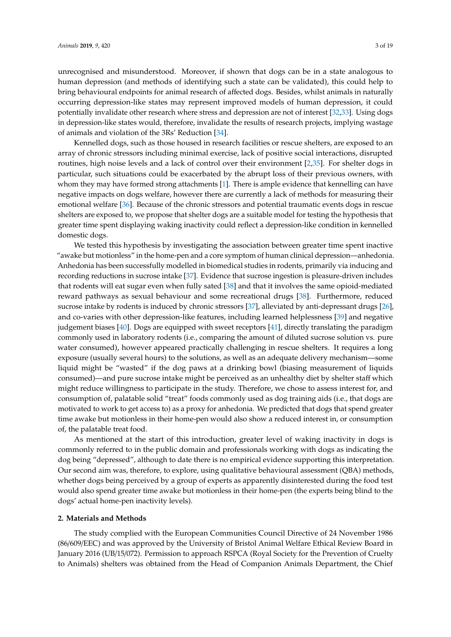unrecognised and misunderstood. Moreover, if shown that dogs can be in a state analogous to human depression (and methods of identifying such a state can be validated), this could help to bring behavioural endpoints for animal research of affected dogs. Besides, whilst animals in naturally occurring depression-like states may represent improved models of human depression, it could potentially invalidate other research where stress and depression are not of interest [\[32](#page-16-17)[,33\]](#page-16-18). Using dogs in depression-like states would, therefore, invalidate the results of research projects, implying wastage of animals and violation of the 3Rs' Reduction [\[34\]](#page-16-19).

Kennelled dogs, such as those housed in research facilities or rescue shelters, are exposed to an array of chronic stressors including minimal exercise, lack of positive social interactions, disrupted routines, high noise levels and a lack of control over their environment [\[2](#page-15-1)[,35\]](#page-16-20). For shelter dogs in particular, such situations could be exacerbated by the abrupt loss of their previous owners, with whom they may have formed strong attachments [\[1\]](#page-15-0). There is ample evidence that kennelling can have negative impacts on dogs welfare, however there are currently a lack of methods for measuring their emotional welfare [\[36\]](#page-16-21). Because of the chronic stressors and potential traumatic events dogs in rescue shelters are exposed to, we propose that shelter dogs are a suitable model for testing the hypothesis that greater time spent displaying waking inactivity could reflect a depression-like condition in kennelled domestic dogs.

We tested this hypothesis by investigating the association between greater time spent inactive "awake but motionless" in the home-pen and a core symptom of human clinical depression—anhedonia. Anhedonia has been successfully modelled in biomedical studies in rodents, primarily via inducing and recording reductions in sucrose intake [\[37\]](#page-17-0). Evidence that sucrose ingestion is pleasure-driven includes that rodents will eat sugar even when fully sated [\[38\]](#page-17-1) and that it involves the same opioid-mediated reward pathways as sexual behaviour and some recreational drugs [\[38\]](#page-17-1). Furthermore, reduced sucrose intake by rodents is induced by chronic stressors [\[37\]](#page-17-0), alleviated by anti-depressant drugs [\[26\]](#page-16-22), and co-varies with other depression-like features, including learned helplessness [\[39\]](#page-17-2) and negative judgement biases [\[40\]](#page-17-3). Dogs are equipped with sweet receptors [\[41\]](#page-17-4), directly translating the paradigm commonly used in laboratory rodents (i.e., comparing the amount of diluted sucrose solution vs. pure water consumed), however appeared practically challenging in rescue shelters. It requires a long exposure (usually several hours) to the solutions, as well as an adequate delivery mechanism—some liquid might be "wasted" if the dog paws at a drinking bowl (biasing measurement of liquids consumed)—and pure sucrose intake might be perceived as an unhealthy diet by shelter staff which might reduce willingness to participate in the study. Therefore, we chose to assess interest for, and consumption of, palatable solid "treat" foods commonly used as dog training aids (i.e., that dogs are motivated to work to get access to) as a proxy for anhedonia. We predicted that dogs that spend greater time awake but motionless in their home-pen would also show a reduced interest in, or consumption of, the palatable treat food.

As mentioned at the start of this introduction, greater level of waking inactivity in dogs is commonly referred to in the public domain and professionals working with dogs as indicating the dog being "depressed", although to date there is no empirical evidence supporting this interpretation. Our second aim was, therefore, to explore, using qualitative behavioural assessment (QBA) methods, whether dogs being perceived by a group of experts as apparently disinterested during the food test would also spend greater time awake but motionless in their home-pen (the experts being blind to the dogs' actual home-pen inactivity levels).

# **2. Materials and Methods**

The study complied with the European Communities Council Directive of 24 November 1986 (86/609/EEC) and was approved by the University of Bristol Animal Welfare Ethical Review Board in January 2016 (UB/15/072). Permission to approach RSPCA (Royal Society for the Prevention of Cruelty to Animals) shelters was obtained from the Head of Companion Animals Department, the Chief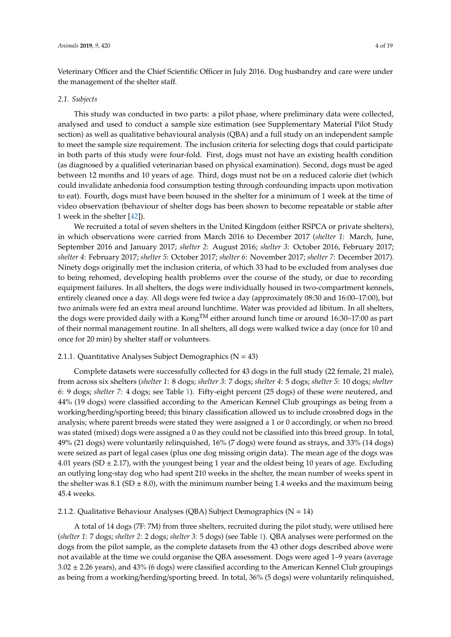Veterinary Officer and the Chief Scientific Officer in July 2016. Dog husbandry and care were under the management of the shelter staff.

#### *2.1. Subjects*

This study was conducted in two parts: a pilot phase, where preliminary data were collected, analysed and used to conduct a sample size estimation (see Supplementary Material Pilot Study section) as well as qualitative behavioural analysis (QBA) and a full study on an independent sample to meet the sample size requirement. The inclusion criteria for selecting dogs that could participate in both parts of this study were four-fold. First, dogs must not have an existing health condition (as diagnosed by a qualified veterinarian based on physical examination). Second, dogs must be aged between 12 months and 10 years of age. Third, dogs must not be on a reduced calorie diet (which could invalidate anhedonia food consumption testing through confounding impacts upon motivation to eat). Fourth, dogs must have been housed in the shelter for a minimum of 1 week at the time of video observation (behaviour of shelter dogs has been shown to become repeatable or stable after 1 week in the shelter [\[42\]](#page-17-5)).

We recruited a total of seven shelters in the United Kingdom (either RSPCA or private shelters), in which observations were carried from March 2016 to December 2017 (*shelter 1*: March, June, September 2016 and January 2017; *shelter 2*: August 2016; *shelter 3*: October 2016, February 2017; *shelter 4*: February 2017; *shelter 5*: October 2017; *shelter 6*: November 2017; *shelter 7*: December 2017). Ninety dogs originally met the inclusion criteria, of which 33 had to be excluded from analyses due to being rehomed, developing health problems over the course of the study, or due to recording equipment failures. In all shelters, the dogs were individually housed in two-compartment kennels, entirely cleaned once a day. All dogs were fed twice a day (approximately 08:30 and 16:00–17:00), but two animals were fed an extra meal around lunchtime. Water was provided ad libitum. In all shelters, the dogs were provided daily with a Kong<sup>TM</sup> either around lunch time or around 16:30–17:00 as part of their normal management routine. In all shelters, all dogs were walked twice a day (once for 10 and once for 20 min) by shelter staff or volunteers.

#### 2.1.1. Quantitative Analyses Subject Demographics ( $N = 43$ )

Complete datasets were successfully collected for 43 dogs in the full study (22 female, 21 male), from across six shelters (*shelter 1*: 8 dogs; *shelter 3*: 7 dogs; *shelter 4*: 5 dogs; *shelter 5*: 10 dogs; *shelter 6*: 9 dogs; *shelter 7*: 4 dogs; see Table [1\)](#page-5-0). Fifty-eight percent (25 dogs) of these were neutered, and 44% (19 dogs) were classified according to the American Kennel Club groupings as being from a working/herding/sporting breed; this binary classification allowed us to include crossbred dogs in the analysis; where parent breeds were stated they were assigned a 1 or 0 accordingly, or when no breed was stated (mixed) dogs were assigned a 0 as they could not be classified into this breed group. In total, 49% (21 dogs) were voluntarily relinquished, 16% (7 dogs) were found as strays, and 33% (14 dogs) were seized as part of legal cases (plus one dog missing origin data). The mean age of the dogs was 4.01 years (SD  $\pm$  2.17), with the youngest being 1 year and the oldest being 10 years of age. Excluding an outlying long-stay dog who had spent 210 weeks in the shelter, the mean number of weeks spent in the shelter was 8.1 (SD  $\pm$  8.0), with the minimum number being 1.4 weeks and the maximum being 45.4 weeks.

# <span id="page-3-0"></span>2.1.2. Qualitative Behaviour Analyses (QBA) Subject Demographics (N = 14)

A total of 14 dogs (7F: 7M) from three shelters, recruited during the pilot study, were utilised here (*shelter 1*: 7 dogs; *shelter 2*: 2 dogs; *shelter 3*: 5 dogs) (see Table [1\)](#page-5-0). QBA analyses were performed on the dogs from the pilot sample, as the complete datasets from the 43 other dogs described above were not available at the time we could organise the QBA assessment. Dogs were aged 1–9 years (average  $3.02 \pm 2.26$  years), and  $43\%$  (6 dogs) were classified according to the American Kennel Club groupings as being from a working/herding/sporting breed. In total, 36% (5 dogs) were voluntarily relinquished,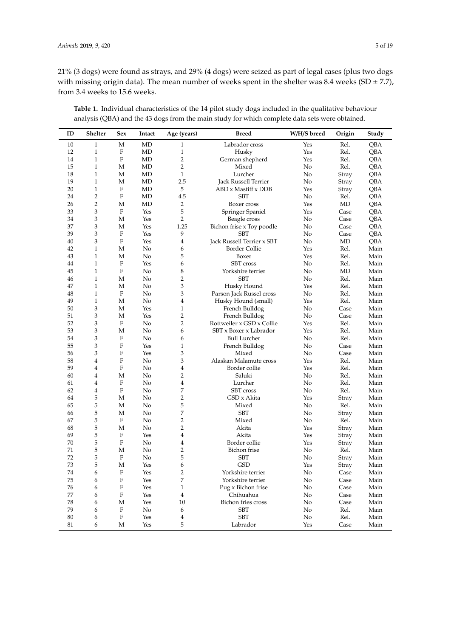21% (3 dogs) were found as strays, and 29% (4 dogs) were seized as part of legal cases (plus two dogs with missing origin data). The mean number of weeks spent in the shelter was 8.4 weeks (SD  $\pm$  7.7), from 3.4 weeks to 15.6 weeks.

| ID     | Shelter        | Sex                       | Intact     | Age (years)               | W/H/S breed<br><b>Breed</b>     |          | Origin | Study |
|--------|----------------|---------------------------|------------|---------------------------|---------------------------------|----------|--------|-------|
| 10     | $\mathbf{1}$   | M                         | MD         | 1                         | Labrador cross                  | Yes      | Rel.   | QBA   |
| 12     | $\mathbf{1}$   | F                         | MD         | $\mathbf{1}$              | Yes<br>Husky                    |          | Rel.   | QBA   |
| 14     | $\mathbf 1$    | F                         | MD         | $\overline{2}$            | German shepherd                 | Yes      | Rel.   | QBA   |
| 15     | $\mathbf{1}$   | M                         | MD         | $\overline{2}$            | Mixed                           | No       | Rel.   | QBA   |
| 18     | $\mathbf{1}$   | M                         | MD         | $\mathbf{1}$              | Lurcher                         | No       | Stray  | QBA   |
| 19     | $\mathbf{1}$   | M                         | <b>MD</b>  | 2.5                       | <b>Jack Russell Terrier</b>     | No       | Stray  | QBA   |
| 20     | $\mathbf{1}$   | F                         | <b>MD</b>  | 5                         | ABD x Mastiff x DDB             | Yes      | Stray  | QBA   |
| 24     | $\overline{c}$ | F                         | MD         | 4.5                       | <b>SBT</b>                      | No       | Rel.   | QBA   |
| 26     | 2              | M                         | MD         | $\overline{2}$            | Boxer cross                     | Yes      | MD     | QBA   |
| 33     | 3              | F                         | Yes        | 5                         | Springer Spaniel                | Yes      | Case   | QBA   |
| 34     | 3              | M                         | Yes        | $\overline{2}$            | Beagle cross                    | No       | Case   | QBA   |
| 37     | 3              | M                         | Yes        | 1.25                      | Bichon frise x Toy poodle       | No       | Case   | QBA   |
| 39     | 3              | $\rm F$                   | Yes        | 9                         | <b>SBT</b>                      | No       | Case   | QBA   |
| 40     | 3              | F                         | Yes        | 4                         | Jack Russell Terrier x SBT      | No       | MD     | QBA   |
| 42     | $\mathbf{1}$   | M                         | No         | 6                         | <b>Border Collie</b>            | Yes      | Rel.   | Main  |
| 43     | $\mathbf{1}$   | М                         | No         | 5                         | Boxer                           | Yes      | Rel.   | Main  |
| 44     | $\mathbf{1}$   | F                         | Yes        | 6                         | <b>SBT</b> cross                | No       | Rel.   | Main  |
| 45     | $\mathbf{1}$   | $\rm F$                   | No         | $\,8\,$                   | Yorkshire terrier               | No       | MD     | Main  |
| 46     | $\mathbf{1}$   | М                         | No         | $\sqrt{2}$                | <b>SBT</b>                      | No       | Rel.   | Main  |
| 47     | $\mathbf{1}$   | M                         | No         | $\ensuremath{\mathbf{3}}$ | Husky Hound                     | Yes      | Rel.   | Main  |
| 48     | $\mathbf{1}$   | F                         | No         | $\ensuremath{\mathbf{3}}$ | Parson Jack Russel cross        | No       | Rel.   | Main  |
| 49     | $\mathbf{1}$   | М                         | No         | $\overline{4}$            | Husky Hound (small)             | Yes      | Rel.   | Main  |
| 50     | 3              | M                         | Yes        | $\mathbf{1}$              | French Bulldog                  | No       | Case   | Main  |
| 51     | 3              | M                         | Yes        | $\overline{2}$            | French Bulldog                  | No       | Case   | Main  |
| 52     | 3              | F                         | No         | $\overline{2}$            | Rottweiler x GSD x Collie       | Yes      | Rel.   | Main  |
| 53     | 3              | M                         | No         | 6                         | SBT x Boxer x Labrador          | Yes      | Rel.   | Main  |
| 54     | 3              | $\rm F$                   | No         | 6                         | <b>Bull Lurcher</b>             | No       | Rel.   | Main  |
| 55     | 3              | F                         | Yes        | $\mathbf{1}$              | French Bulldog                  | No       | Case   | Main  |
| 56     | 3              | $\rm F$                   | Yes        | 3                         | Mixed                           | No       | Case   | Main  |
| 58     | 4              | ${\rm F}$                 | No         | $\ensuremath{\mathbf{3}}$ | Alaskan Malamute cross          | Yes      | Rel.   | Main  |
| 59     | 4              | F                         | No         | $\overline{4}$            | Border collie                   | Yes      | Rel.   | Main  |
| 60     | 4              | M                         | No         | $\overline{2}$            | Saluki                          | No       | Rel.   | Main  |
| 61     | 4              | F                         | No         | $\overline{4}$            | Lurcher                         | No       | Rel.   | Main  |
| 62     | 4              | $\mathbf F$               | No         | 7                         | SBT cross                       | No       | Rel.   | Main  |
| 64     | 5              | M                         | No         | $\sqrt{2}$                | GSD x Akita                     | Yes      | Stray  | Main  |
| 65     | 5              | M                         | No         | 5                         | Mixed                           | No       | Rel.   | Main  |
| 66     | 5              | M                         | No         | 7                         | <b>SBT</b>                      | No       | Stray  | Main  |
| 67     | 5              | F                         | No         | $\overline{2}$            | Mixed                           | No       | Rel.   | Main  |
| 68     | 5              | М                         | No         | $\overline{2}$            | Akita                           | Yes      | Stray  | Main  |
| 69     | 5              | $\boldsymbol{\mathrm{F}}$ | Yes        | $\overline{4}$            | Akita                           | Yes      | Stray  | Main  |
| 70     | 5              | $\rm F$                   | No         | $\overline{4}$            | Border collie                   | Yes      | Stray  | Main  |
| 71     | 5              | М                         | No         | $\overline{2}$            | Bichon frise                    | No       | Rel.   | Main  |
| 72     | 5              | $\rm F$                   | No         | 5                         | <b>SBT</b>                      | No       | Stray  | Main  |
| 73     | 5              | M                         | Yes        | 6                         | <b>GSD</b>                      | Yes      | Stray  | Main  |
| 74     | 6              | F                         | Yes        | 2                         | Yorkshire terrier               | No       | Case   | Main  |
| $75\,$ | 6              | $\mathbf F$               | Yes        | $\boldsymbol{7}$          | Yorkshire terrier               | No       | Case   | Main  |
| 76     |                | $\boldsymbol{\mathrm{F}}$ |            | $\mathbf{1}$              |                                 |          | Case   | Main  |
| 77     | 6<br>6         | $\mathbf F$               | Yes<br>Yes | $\bf 4$                   | Pug x Bichon frise<br>Chihuahua | No<br>No | Case   | Main  |
| 78     | 6              | M                         | Yes        | $10\,$                    | Bichon fries cross              | No       | Case   | Main  |
| 79     | 6              | $\mathbf F$               | No         | 6                         | <b>SBT</b>                      | No       | Rel.   | Main  |
| $80\,$ |                | $\boldsymbol{\mathrm{F}}$ | Yes        | $\overline{4}$            | <b>SBT</b>                      | No       | Rel.   | Main  |
|        | 6<br>6         |                           |            | 5                         | Labrador                        | Yes      | Case   | Main  |
| $81\,$ |                | M                         | Yes        |                           |                                 |          |        |       |

**Table 1.** Individual characteristics of the 14 pilot study dogs included in the qualitative behaviour analysis (QBA) and the 43 dogs from the main study for which complete data sets were obtained.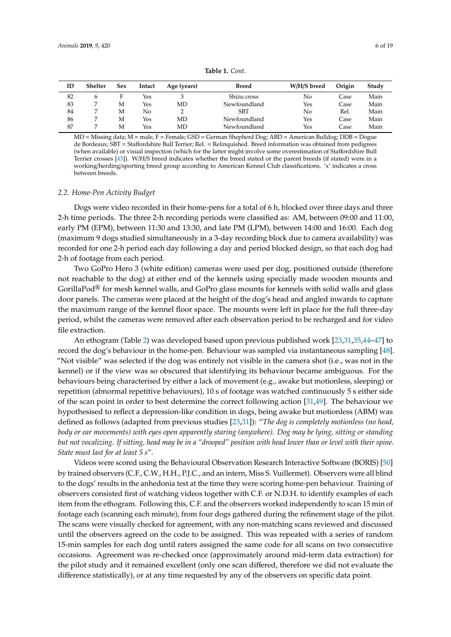<span id="page-5-0"></span>

| ID | Shelter | Sex | Intact | Age (years) | Breed        | W/H/S breed | Origin | Study |
|----|---------|-----|--------|-------------|--------------|-------------|--------|-------|
| 82 | h       | F   | Yes    |             | Shizu cross  | No          | Case   | Main  |
| 83 |         | M   | Yes    | MD          | Newfoundland | Yes         | Case   | Main  |
| 84 |         | M   | No     |             | <b>SBT</b>   | No          | Rel.   | Main  |
| 86 |         | M   | Yes    | MD          | Newfoundland | Yes         | Case   | Main  |
| 87 |         | M   | Yes    | MD          | Newfoundland | Yes         | Case   | Main  |
|    |         |     |        |             |              |             |        |       |

**Table 1.** *Cont*.

MD = Missing data; M = male, F = Female; GSD = German Shepherd Dog; ABD = American Bulldog; DDB = Dogue de Bordeaux; SBT = Staffordshire Bull Terrier; Rel. = Relinquished. Breed information was obtained from pedigrees (when available) or visual inspection (which for the latter might involve some overestimation of Staffordshire Bull Terrier crosses [\[43\]](#page-17-6)). W/H/S breed indicates whether the breed stated or the parent breeds (if stated) were in a working/herding/sporting breed group according to American Kennel Club classifications. 'x' indicates a cross between breeds.

#### *2.2. Home-Pen Activity Budget*

Dogs were video recorded in their home-pens for a total of 6 h, blocked over three days and three 2-h time periods. The three 2-h recording periods were classified as: AM, between 09:00 and 11:00, early PM (EPM), between 11:30 and 13:30, and late PM (LPM), between 14:00 and 16:00. Each dog (maximum 9 dogs studied simultaneously in a 3-day recording block due to camera availability) was recorded for one 2-h period each day following a day and period blocked design, so that each dog had 2-h of footage from each period.

Two GoPro Hero 3 (white edition) cameras were used per dog, positioned outside (therefore not reachable to the dog) at either end of the kennels using specially made wooden mounts and GorillaPod® for mesh kennel walls, and GoPro glass mounts for kennels with solid walls and glass door panels. The cameras were placed at the height of the dog's head and angled inwards to capture the maximum range of the kennel floor space. The mounts were left in place for the full three-day period, whilst the cameras were removed after each observation period to be recharged and for video file extraction.

An ethogram (Table [2\)](#page-6-0) was developed based upon previous published work [\[23,](#page-16-15)[31,](#page-16-16)[35,](#page-16-20)[44](#page-17-7)[–47\]](#page-17-8) to record the dog's behaviour in the home-pen. Behaviour was sampled via instantaneous sampling [\[48\]](#page-17-9). "Not visible" was selected if the dog was entirely not visible in the camera shot (i.e., was not in the kennel) or if the view was so obscured that identifying its behaviour became ambiguous. For the behaviours being characterised by either a lack of movement (e.g., awake but motionless, sleeping) or repetition (abnormal repetitive behaviours), 10 s of footage was watched continuously 5 s either side of the scan point in order to best determine the correct following action [\[31](#page-16-16)[,49\]](#page-17-10). The behaviour we hypothesised to reflect a depression-like condition in dogs, being awake but motionless (ABM) was defined as follows (adapted from previous studies [\[23](#page-16-15)[,31\]](#page-16-16)): "*The dog is completely motionless (no head, body or ear movements) with eyes open apparently staring (anywhere). Dog may be lying, sitting or standing but not vocalizing. If sitting, head may be in a "drooped" position with head lower than or level with their spine. State must last for at least 5 s*".

Videos were scored using the Behavioural Observation Research Interactive Software (BORIS) [\[50\]](#page-17-11) by trained observers (C.F., C.W., H.H., P.J.C., and an intern, Miss S. Vuillermet). Observers were all blind to the dogs' results in the anhedonia test at the time they were scoring home-pen behaviour. Training of observers consisted first of watching videos together with C.F. or N.D.H. to identify examples of each item from the ethogram. Following this, C.F. and the observers worked independently to scan 15 min of footage each (scanning each minute), from four dogs gathered during the refinement stage of the pilot. The scans were visually checked for agreement, with any non-matching scans reviewed and discussed until the observers agreed on the code to be assigned. This was repeated with a series of random 15-min samples for each dog until raters assigned the same code for all scans on two consecutive occasions. Agreement was re-checked once (approximately around mid-term data extraction) for the pilot study and it remained excellent (only one scan differed, therefore we did not evaluate the difference statistically), or at any time requested by any of the observers on specific data point.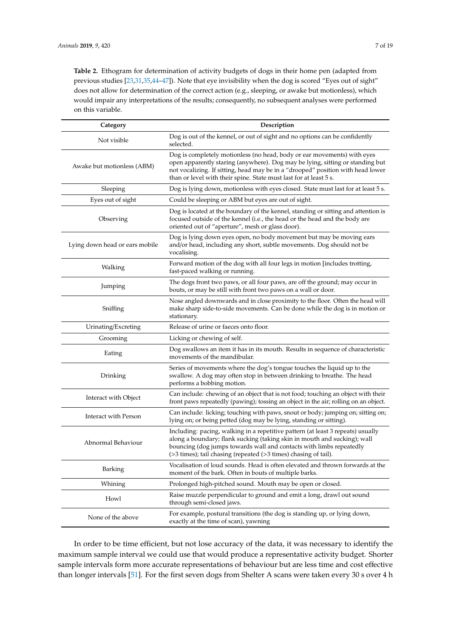<span id="page-6-0"></span>**Table 2.** Ethogram for determination of activity budgets of dogs in their home pen (adapted from previous studies [\[23](#page-16-15)[,31,](#page-16-16)[35](#page-16-20),44-[47\]](#page-17-8)). Note that eye invisibility when the dog is scored "Eyes out of sight" does not allow for determination of the correct action (e.g., sleeping, or awake but motionless), which would impair any interpretations of the results; consequently, no subsequent analyses were performed on this variable.

| Category                       | Description                                                                                                                                                                                                                                                                                                      |  |  |  |
|--------------------------------|------------------------------------------------------------------------------------------------------------------------------------------------------------------------------------------------------------------------------------------------------------------------------------------------------------------|--|--|--|
| Not visible                    | Dog is out of the kennel, or out of sight and no options can be confidently<br>selected.                                                                                                                                                                                                                         |  |  |  |
| Awake but motionless (ABM)     | Dog is completely motionless (no head, body or ear movements) with eyes<br>open apparently staring (anywhere). Dog may be lying, sitting or standing but<br>not vocalizing. If sitting, head may be in a "drooped" position with head lower<br>than or level with their spine. State must last for at least 5 s. |  |  |  |
| Sleeping                       | Dog is lying down, motionless with eyes closed. State must last for at least 5 s.                                                                                                                                                                                                                                |  |  |  |
| Eyes out of sight              | Could be sleeping or ABM but eyes are out of sight.                                                                                                                                                                                                                                                              |  |  |  |
| Observing                      | Dog is located at the boundary of the kennel, standing or sitting and attention is<br>focused outside of the kennel (i.e., the head or the head and the body are<br>oriented out of "aperture", mesh or glass door).                                                                                             |  |  |  |
| Lying down head or ears mobile | Dog is lying down eyes open, no body movement but may be moving ears<br>and/or head, including any short, subtle movements. Dog should not be<br>vocalising.                                                                                                                                                     |  |  |  |
| Walking                        | Forward motion of the dog with all four legs in motion [includes trotting,<br>fast-paced walking or running.                                                                                                                                                                                                     |  |  |  |
| Jumping                        | The dogs front two paws, or all four paws, are off the ground; may occur in<br>bouts, or may be still with front two paws on a wall or door.                                                                                                                                                                     |  |  |  |
| Sniffing                       | Nose angled downwards and in close proximity to the floor. Often the head will<br>make sharp side-to-side movements. Can be done while the dog is in motion or<br>stationary.                                                                                                                                    |  |  |  |
| Urinating/Excreting            | Release of urine or faeces onto floor.                                                                                                                                                                                                                                                                           |  |  |  |
| Grooming                       | Licking or chewing of self.                                                                                                                                                                                                                                                                                      |  |  |  |
| Eating                         | Dog swallows an item it has in its mouth. Results in sequence of characteristic<br>movements of the mandibular.                                                                                                                                                                                                  |  |  |  |
| Drinking                       | Series of movements where the dog's tongue touches the liquid up to the<br>swallow. A dog may often stop in between drinking to breathe. The head<br>performs a bobbing motion.                                                                                                                                  |  |  |  |
| Interact with Object           | Can include: chewing of an object that is not food; touching an object with their<br>front paws repeatedly (pawing); tossing an object in the air; rolling on an object.                                                                                                                                         |  |  |  |
| Interact with Person           | Can include: licking; touching with paws, snout or body; jumping on; sitting on;<br>lying on; or being petted (dog may be lying, standing or sitting).                                                                                                                                                           |  |  |  |
| Abnormal Behaviour             | Including: pacing, walking in a repetitive pattern (at least 3 repeats) usually<br>along a boundary; flank sucking (taking skin in mouth and sucking); wall<br>bouncing (dog jumps towards wall and contacts with limbs repeatedly<br>(>3 times); tail chasing (repeated (>3 times) chasing of tail).            |  |  |  |
| Barking                        | Vocalisation of loud sounds. Head is often elevated and thrown forwards at the<br>moment of the bark. Often in bouts of multiple barks.                                                                                                                                                                          |  |  |  |
| Whining                        | Prolonged high-pitched sound. Mouth may be open or closed.                                                                                                                                                                                                                                                       |  |  |  |
| Howl                           | Raise muzzle perpendicular to ground and emit a long, drawl out sound<br>through semi-closed jaws.                                                                                                                                                                                                               |  |  |  |
| None of the above              | For example, postural transitions (the dog is standing up, or lying down,<br>exactly at the time of scan), yawning                                                                                                                                                                                               |  |  |  |

In order to be time efficient, but not lose accuracy of the data, it was necessary to identify the maximum sample interval we could use that would produce a representative activity budget. Shorter sample intervals form more accurate representations of behaviour but are less time and cost effective than longer intervals [\[51\]](#page-17-12). For the first seven dogs from Shelter A scans were taken every 30 s over 4 h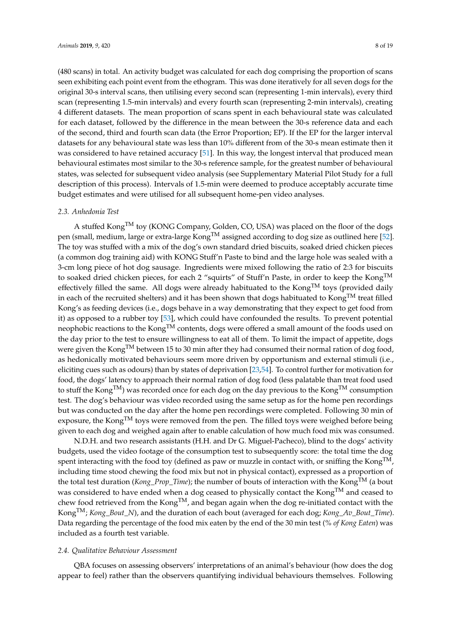(480 scans) in total. An activity budget was calculated for each dog comprising the proportion of scans seen exhibiting each point event from the ethogram. This was done iteratively for all seven dogs for the original 30-s interval scans, then utilising every second scan (representing 1-min intervals), every third scan (representing 1.5-min intervals) and every fourth scan (representing 2-min intervals), creating 4 different datasets. The mean proportion of scans spent in each behavioural state was calculated for each dataset, followed by the difference in the mean between the 30-s reference data and each of the second, third and fourth scan data (the Error Proportion; EP). If the EP for the larger interval datasets for any behavioural state was less than 10% different from of the 30-s mean estimate then it was considered to have retained accuracy [\[51\]](#page-17-12). In this way, the longest interval that produced mean behavioural estimates most similar to the 30-s reference sample, for the greatest number of behavioural states, was selected for subsequent video analysis (see Supplementary Material Pilot Study for a full description of this process). Intervals of 1.5-min were deemed to produce acceptably accurate time budget estimates and were utilised for all subsequent home-pen video analyses.

#### *2.3. Anhedonia Test*

A stuffed Kong<sup>TM</sup> toy (KONG Company, Golden, CO, USA) was placed on the floor of the dogs pen (small, medium, large or extra-large Kong<sup>TM</sup> assigned according to dog size as outlined here [\[52\]](#page-17-13). The toy was stuffed with a mix of the dog's own standard dried biscuits, soaked dried chicken pieces (a common dog training aid) with KONG Stuff'n Paste to bind and the large hole was sealed with a 3-cm long piece of hot dog sausage. Ingredients were mixed following the ratio of 2:3 for biscuits to soaked dried chicken pieces, for each 2 "squirts" of Stuff'n Paste, in order to keep the KongTM effectively filled the same. All dogs were already habituated to the  $\text{Kong}^{\text{TM}}$  toys (provided daily in each of the recruited shelters) and it has been shown that dogs habituated to Kong<sup>TM</sup> treat filled Kong's as feeding devices (i.e., dogs behave in a way demonstrating that they expect to get food from it) as opposed to a rubber toy [\[53\]](#page-17-14), which could have confounded the results. To prevent potential neophobic reactions to the Kong<sup>TM</sup> contents, dogs were offered a small amount of the foods used on the day prior to the test to ensure willingness to eat all of them. To limit the impact of appetite, dogs were given the Kong<sup>TM</sup> between 15 to 30 min after they had consumed their normal ration of dog food, as hedonically motivated behaviours seem more driven by opportunism and external stimuli (i.e., eliciting cues such as odours) than by states of deprivation [\[23,](#page-16-15)[54\]](#page-17-15). To control further for motivation for food, the dogs' latency to approach their normal ration of dog food (less palatable than treat food used to stuff the Kong<sup>TM</sup>) was recorded once for each dog on the day previous to the Kong<sup>TM</sup> consumption test. The dog's behaviour was video recorded using the same setup as for the home pen recordings but was conducted on the day after the home pen recordings were completed. Following 30 min of exposure, the Kong<sup>TM</sup> toys were removed from the pen. The filled toys were weighed before being given to each dog and weighed again after to enable calculation of how much food mix was consumed.

N.D.H. and two research assistants (H.H. and Dr G. Miguel-Pacheco), blind to the dogs' activity budgets, used the video footage of the consumption test to subsequently score: the total time the dog spent interacting with the food toy (defined as paw or muzzle in contact with, or sniffing the Kong<sup>TM</sup>, including time stood chewing the food mix but not in physical contact), expressed as a proportion of the total test duration (*Kong\_Prop\_Time*); the number of bouts of interaction with the Kong<sup>TM</sup> (a bout was considered to have ended when a dog ceased to physically contact the Kong<sup>TM</sup> and ceased to chew food retrieved from the  $\text{Kong}^{TM}$ , and began again when the dog re-initiated contact with the Kong<sup>TM</sup>; *Kong Bout N*), and the duration of each bout (averaged for each dog; *Kong Av Bout Time*). Data regarding the percentage of the food mix eaten by the end of the 30 min test (*% of Kong Eaten*) was included as a fourth test variable.

# *2.4. Qualitative Behaviour Assessment*

QBA focuses on assessing observers' interpretations of an animal's behaviour (how does the dog appear to feel) rather than the observers quantifying individual behaviours themselves. Following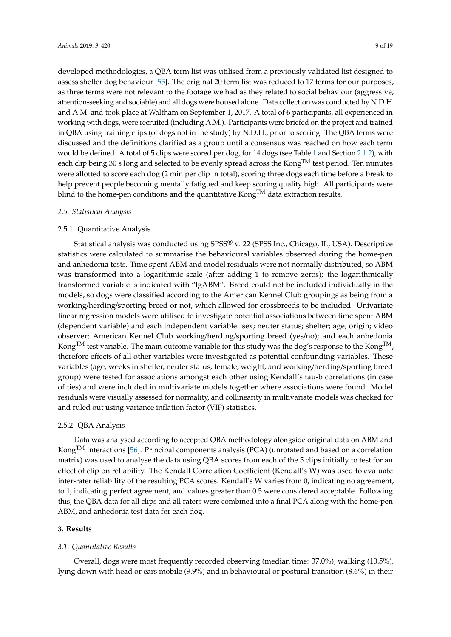developed methodologies, a QBA term list was utilised from a previously validated list designed to assess shelter dog behaviour [\[55\]](#page-17-16). The original 20 term list was reduced to 17 terms for our purposes, as three terms were not relevant to the footage we had as they related to social behaviour (aggressive, attention-seeking and sociable) and all dogs were housed alone. Data collection was conducted by N.D.H. and A.M. and took place at Waltham on September 1, 2017. A total of 6 participants, all experienced in working with dogs, were recruited (including A.M.). Participants were briefed on the project and trained in QBA using training clips (of dogs not in the study) by N.D.H., prior to scoring. The QBA terms were discussed and the definitions clarified as a group until a consensus was reached on how each term would be defined. A total of 5 clips were scored per dog, for 14 dogs (see Table [1](#page-5-0) and Section [2.1.2\)](#page-3-0), with each clip being 30 s long and selected to be evenly spread across the Kong<sup>TM</sup> test period. Ten minutes were allotted to score each dog (2 min per clip in total), scoring three dogs each time before a break to help prevent people becoming mentally fatigued and keep scoring quality high. All participants were blind to the home-pen conditions and the quantitative Kong<sup>TM</sup> data extraction results.

#### *2.5. Statistical Analysis*

# 2.5.1. Quantitative Analysis

Statistical analysis was conducted using SPSS® v. 22 (SPSS Inc., Chicago, IL, USA). Descriptive statistics were calculated to summarise the behavioural variables observed during the home-pen and anhedonia tests. Time spent ABM and model residuals were not normally distributed, so ABM was transformed into a logarithmic scale (after adding 1 to remove zeros); the logarithmically transformed variable is indicated with "lgABM". Breed could not be included individually in the models, so dogs were classified according to the American Kennel Club groupings as being from a working/herding/sporting breed or not, which allowed for crossbreeds to be included. Univariate linear regression models were utilised to investigate potential associations between time spent ABM (dependent variable) and each independent variable: sex; neuter status; shelter; age; origin; video observer; American Kennel Club working/herding/sporting breed (yes/no); and each anhedonia Kong<sup>TM</sup> test variable. The main outcome variable for this study was the dog's response to the Kong<sup>TM</sup>, therefore effects of all other variables were investigated as potential confounding variables. These variables (age, weeks in shelter, neuter status, female, weight, and working/herding/sporting breed group) were tested for associations amongst each other using Kendall's tau-b correlations (in case of ties) and were included in multivariate models together where associations were found. Model residuals were visually assessed for normality, and collinearity in multivariate models was checked for and ruled out using variance inflation factor (VIF) statistics.

# 2.5.2. QBA Analysis

Data was analysed according to accepted QBA methodology alongside original data on ABM and KongTM interactions [\[56\]](#page-17-17). Principal components analysis (PCA) (unrotated and based on a correlation matrix) was used to analyse the data using QBA scores from each of the 5 clips initially to test for an effect of clip on reliability. The Kendall Correlation Coefficient (Kendall's W) was used to evaluate inter-rater reliability of the resulting PCA scores. Kendall's W varies from 0, indicating no agreement, to 1, indicating perfect agreement, and values greater than 0.5 were considered acceptable. Following this, the QBA data for all clips and all raters were combined into a final PCA along with the home-pen ABM, and anhedonia test data for each dog.

#### **3. Results**

#### *3.1. Quantitative Results*

Overall, dogs were most frequently recorded observing (median time: 37.0%), walking (10.5%), lying down with head or ears mobile (9.9%) and in behavioural or postural transition (8.6%) in their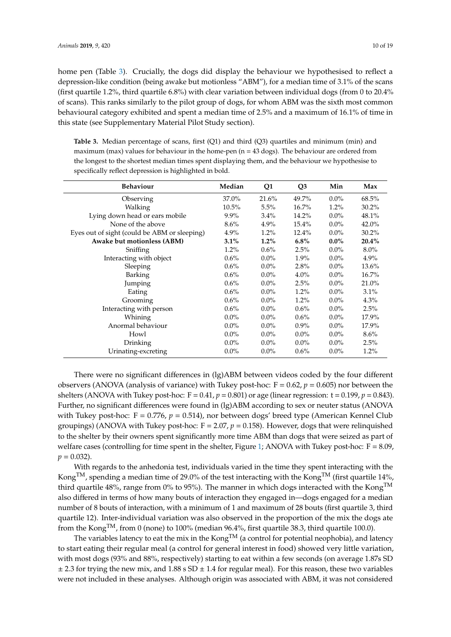home pen (Table [3\)](#page-9-0). Crucially, the dogs did display the behaviour we hypothesised to reflect a depression-like condition (being awake but motionless "ABM"), for a median time of 3.1% of the scans (first quartile 1.2%, third quartile 6.8%) with clear variation between individual dogs (from 0 to 20.4% of scans). This ranks similarly to the pilot group of dogs, for whom ABM was the sixth most common behavioural category exhibited and spent a median time of 2.5% and a maximum of 16.1% of time in this state (see Supplementary Material Pilot Study section).

<span id="page-9-0"></span>**Table 3.** Median percentage of scans, first (Q1) and third (Q3) quartiles and minimum (min) and maximum (max) values for behaviour in the home-pen ( $n = 43$  dogs). The behaviour are ordered from the longest to the shortest median times spent displaying them, and the behaviour we hypothesise to specifically reflect depression is highlighted in bold.

| <b>Behaviour</b>                             | Median   | Q1      | Q <sub>3</sub> | Min     | Max      |
|----------------------------------------------|----------|---------|----------------|---------|----------|
| Observing                                    | 37.0%    | 21.6%   | 49.7%          | $0.0\%$ | 68.5%    |
| Walking                                      | $10.5\%$ | 5.5%    | $16.7\%$       | $1.2\%$ | $30.2\%$ |
| Lying down head or ears mobile               | $9.9\%$  | $3.4\%$ | 14.2%          | $0.0\%$ | 48.1%    |
| None of the above                            | $8.6\%$  | $4.9\%$ | 15.4%          | $0.0\%$ | $42.0\%$ |
| Eyes out of sight (could be ABM or sleeping) | 4.9%     | $1.2\%$ | 12.4%          | $0.0\%$ | $30.2\%$ |
| Awake but motionless (ABM)                   | $3.1\%$  | $1.2\%$ | 6.8%           | $0.0\%$ | 20.4%    |
| Sniffing                                     | $1.2\%$  | $0.6\%$ | 2.5%           | $0.0\%$ | $8.0\%$  |
| Interacting with object                      | $0.6\%$  | $0.0\%$ | 1.9%           | $0.0\%$ | $4.9\%$  |
| Sleeping                                     | $0.6\%$  | $0.0\%$ | 2.8%           | $0.0\%$ | 13.6%    |
| Barking                                      | $0.6\%$  | $0.0\%$ | $4.0\%$        | $0.0\%$ | $16.7\%$ |
| Jumping                                      | $0.6\%$  | $0.0\%$ | 2.5%           | $0.0\%$ | 21.0%    |
| Eating                                       | $0.6\%$  | $0.0\%$ | $1.2\%$        | $0.0\%$ | $3.1\%$  |
| Grooming                                     | $0.6\%$  | $0.0\%$ | $1.2\%$        | $0.0\%$ | $4.3\%$  |
| Interacting with person                      | $0.6\%$  | $0.0\%$ | $0.6\%$        | $0.0\%$ | 2.5%     |
| Whining                                      | $0.0\%$  | $0.0\%$ | $0.6\%$        | $0.0\%$ | 17.9%    |
| Anormal behaviour                            | $0.0\%$  | $0.0\%$ | $0.9\%$        | $0.0\%$ | 17.9%    |
| Howl                                         | $0.0\%$  | $0.0\%$ | $0.0\%$        | $0.0\%$ | $8.6\%$  |
| Drinking                                     | $0.0\%$  | $0.0\%$ | $0.0\%$        | $0.0\%$ | 2.5%     |
| Urinating-excreting                          | $0.0\%$  | $0.0\%$ | 0.6%           | $0.0\%$ | $1.2\%$  |

There were no significant differences in (lg)ABM between videos coded by the four different observers (ANOVA (analysis of variance) with Tukey post-hoc:  $F = 0.62$ ,  $p = 0.605$ ) nor between the shelters (ANOVA with Tukey post-hoc:  $F = 0.41$ ,  $p = 0.801$ ) or age (linear regression:  $t = 0.199$ ,  $p = 0.843$ ). Further, no significant differences were found in (lg)ABM according to sex or neuter status (ANOVA with Tukey post-hoc: F = 0.776, p = 0.514), nor between dogs' breed type (American Kennel Club groupings) (ANOVA with Tukey post-hoc:  $F = 2.07$ ,  $p = 0.158$ ). However, dogs that were relinquished to the shelter by their owners spent significantly more time ABM than dogs that were seized as part of welfare cases (controlling for time spent in the shelter, Figure [1;](#page-10-0) ANOVA with Tukey post-hoc:  $F = 8.09$ ,  $p = 0.032$ .

With regards to the anhedonia test, individuals varied in the time they spent interacting with the Kong<sup>TM</sup>, spending a median time of 29.0% of the test interacting with the Kong<sup>TM</sup> (first quartile 14%, third quartile 48%, range from 0% to 95%). The manner in which dogs interacted with the Kong<sup>TM</sup> also differed in terms of how many bouts of interaction they engaged in—dogs engaged for a median number of 8 bouts of interaction, with a minimum of 1 and maximum of 28 bouts (first quartile 3, third quartile 12). Inter-individual variation was also observed in the proportion of the mix the dogs ate from the Kong<sup>TM</sup>, from 0 (none) to 100% (median 96.4%, first quartile 38.3, third quartile 100.0).

The variables latency to eat the mix in the Kong<sup>TM</sup> (a control for potential neophobia), and latency to start eating their regular meal (a control for general interest in food) showed very little variation, with most dogs (93% and 88%, respectively) starting to eat within a few seconds (on average 1.87s SD  $\pm$  2.3 for trying the new mix, and 1.88 s SD  $\pm$  1.4 for regular meal). For this reason, these two variables were not included in these analyses. Although origin was associated with ABM, it was not considered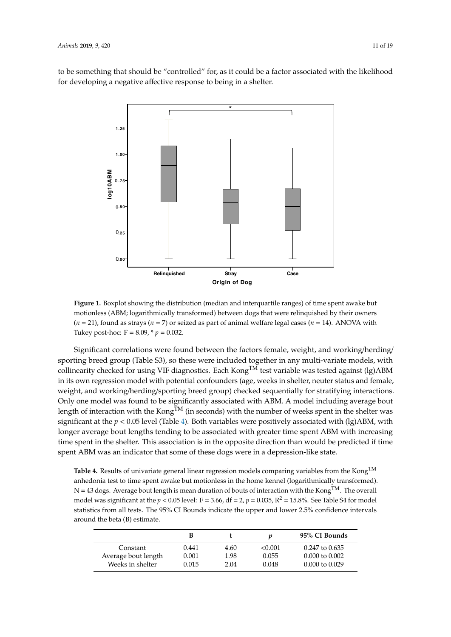<span id="page-10-0"></span>to be something that should be "controlled" for, as it could be a factor associated with the likelihood for developing a negative affective response to being in a shelter.



**Figure 1.** Boxplot showing the distribution (median and interquartile ranges) of time spent awake but motionless (ABM; logarithmically transformed) between dogs that were relinquished by their owners  $(n = 21)$ , found as strays  $(n = 7)$  or seized as part of animal welfare legal cases  $(n = 14)$ . ANOVA with Tukey post-hoc:  $F = 8.09$ ,  $p = 0.032$ .

Significant correlations were found between the factors female, weight, and working/herding/ sporting breed group (Table S3), so these were included together in any multi-variate models, with collinearity checked for using VIF diagnostics. Each Kong<sup>TM</sup> test variable was tested against (lg)ABM in its own regression model with potential confounders (age, weeks in shelter, neuter status and female, weight, and working/herding/sporting breed group) checked sequentially for stratifying interactions. Only one model was found to be significantly associated with ABM. A model including average bout length of interaction with the Kong<sup>TM</sup> (in seconds) with the number of weeks spent in the shelter was significant at the *p* < 0.05 level (Table [4\)](#page-10-1). Both variables were positively associated with (lg)ABM, with longer average bout lengths tending to be associated with greater time spent ABM with increasing time spent in the shelter. This association is in the opposite direction than would be predicted if time spent ABM was an indicator that some of these dogs were in a depression-like state.

<span id="page-10-1"></span>**Table 4.** Results of univariate general linear regression models comparing variables from the KongTM anhedonia test to time spent awake but motionless in the home kennel (logarithmically transformed).  $N = 43$  dogs. Average bout length is mean duration of bouts of interaction with the Kong<sup>TM</sup>. The overall model was significant at the  $p < 0.05$  level: F = 3.66, df = 2,  $p = 0.035$ , R<sup>2</sup> = 15.8%. See Table S4 for model statistics from all tests. The 95% CI Bounds indicate the upper and lower 2.5% confidence intervals around the beta (B) estimate.

|                     | В     |      |         | 95% CI Bounds             |
|---------------------|-------|------|---------|---------------------------|
| Constant            | 0.441 | 4.60 | < 0.001 | $0.247$ to $0.635$        |
| Average bout length | 0.001 | 1.98 | 0.055   | $0.000 \text{ to } 0.002$ |
| Weeks in shelter    | 0.015 | 2.04 | 0.048   | $0.000 \text{ to } 0.029$ |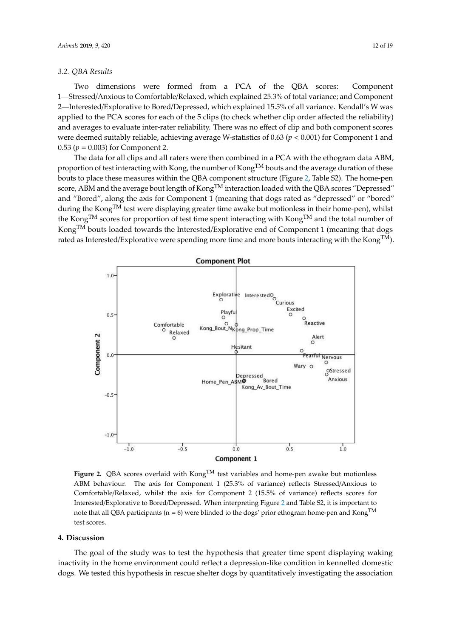#### *3.2. QBA Results*

Two dimensions were formed from a PCA of the QBA scores: Component 1—Stressed/Anxious to Comfortable/Relaxed, which explained 25.3% of total variance; and Component 2—Interested/Explorative to Bored/Depressed, which explained 15.5% of all variance. Kendall's W was applied to the PCA scores for each of the 5 clips (to check whether clip order affected the reliability) and averages to evaluate inter-rater reliability. There was no effect of clip and both component scores were deemed suitably reliable, achieving average W-statistics of 0.63 (*p* < 0.001) for Component 1 and 0.53 ( $p = 0.003$ ) for Component 2.

The data for all clips and all raters were then combined in a PCA with the ethogram data ABM, proportion of test interacting with Kong, the number of Kong<sup>TM</sup> bouts and the average duration of these bouts to place these measures within the QBA component structure (Figure [2,](#page-11-0) Table S2). The home-pen score, ABM and the average bout length of Kong<sup>TM</sup> interaction loaded with the QBA scores "Depressed" and "Bored", along the axis for Component 1 (meaning that dogs rated as "depressed" or "bored" during the Kong<sup>TM</sup> test were displaying greater time awake but motionless in their home-pen), whilst the Kong<sup>TM</sup> scores for proportion of test time spent interacting with Kong<sup>TM</sup> and the total number of Kong<sup>TM</sup> bouts loaded towards the Interested/Explorative end of Component 1 (meaning that dogs rated as Interested/Explorative were spending more time and more bouts interacting with the  $\mathsf{Kong^{TM}}$ ).

<span id="page-11-0"></span>

Figure 2. QBA scores overlaid with Kong<sup>TM</sup> test variables and home-pen awake but motionless behaviour. The axis for Component 1 (25.3% of variance) reflects Stressed/Anxious to ABM behaviour. The axis for Component 1 (25.3% of variance) reflects Stressed/Anxious to Comfortable/Relaxed, whilst the axis for Component 2 (15.5% of variance) reflects scores for Comfortable/Relaxed, whilst the axis for Component 2 (15.5% of variance) reflects scores for Interested/Explorative to Bored/Depressed. When interpreting Fig[ure](#page-11-0) 2 and Table S2, it is important Interested/Explorative to Bored/Depressed. When interpreting Figure 2 and Table S2, it is important to note that all QBA participants (n = 6) were blinded to the dogs' prior ethogram home-pen and  $Kong<sup>TM</sup>$ test scores. **Figure 2.** QBA scores overlaid with  $\text{Kong}^{\text{TM}}$  test variables and home-pen awake but motionless

# **4. Discussion 4. Discussion**

The goal of the study was to test the hypothesis that greater time spent displaying waking inactivity in the home environment could reflect a depression-like condition in kennelled domestic inactivity in the home environment could reflect a depression-like condition in kennelled domestic dogs. We tested this hypothesis in rescue shelter dogs by quantitatively investigating the association dogs. We tested this hypothesis in rescue shelter dogs by quantitatively investigating the association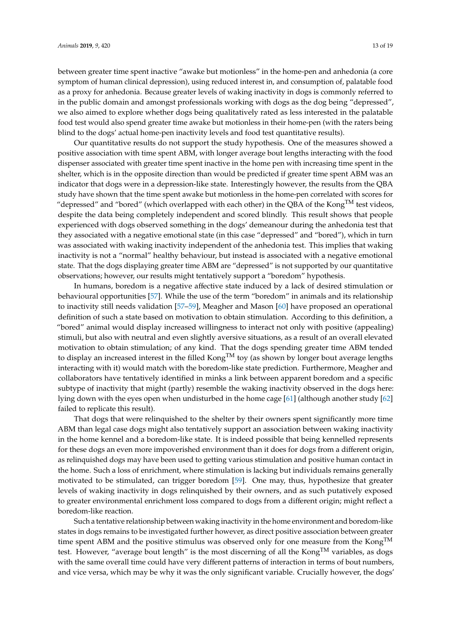between greater time spent inactive "awake but motionless" in the home-pen and anhedonia (a core symptom of human clinical depression), using reduced interest in, and consumption of, palatable food as a proxy for anhedonia. Because greater levels of waking inactivity in dogs is commonly referred to in the public domain and amongst professionals working with dogs as the dog being "depressed", we also aimed to explore whether dogs being qualitatively rated as less interested in the palatable food test would also spend greater time awake but motionless in their home-pen (with the raters being blind to the dogs' actual home-pen inactivity levels and food test quantitative results).

Our quantitative results do not support the study hypothesis. One of the measures showed a positive association with time spent ABM, with longer average bout lengths interacting with the food dispenser associated with greater time spent inactive in the home pen with increasing time spent in the shelter, which is in the opposite direction than would be predicted if greater time spent ABM was an indicator that dogs were in a depression-like state. Interestingly however, the results from the QBA study have shown that the time spent awake but motionless in the home-pen correlated with scores for "depressed" and "bored" (which overlapped with each other) in the QBA of the Kong<sup>TM</sup> test videos, despite the data being completely independent and scored blindly. This result shows that people experienced with dogs observed something in the dogs' demeanour during the anhedonia test that they associated with a negative emotional state (in this case "depressed" and "bored"), which in turn was associated with waking inactivity independent of the anhedonia test. This implies that waking inactivity is not a "normal" healthy behaviour, but instead is associated with a negative emotional state. That the dogs displaying greater time ABM are "depressed" is not supported by our quantitative observations; however, our results might tentatively support a "boredom" hypothesis.

In humans, boredom is a negative affective state induced by a lack of desired stimulation or behavioural opportunities [\[57\]](#page-17-18). While the use of the term "boredom" in animals and its relationship to inactivity still needs validation [\[57–](#page-17-18)[59\]](#page-17-19), Meagher and Mason [\[60\]](#page-18-0) have proposed an operational definition of such a state based on motivation to obtain stimulation. According to this definition, a "bored" animal would display increased willingness to interact not only with positive (appealing) stimuli, but also with neutral and even slightly aversive situations, as a result of an overall elevated motivation to obtain stimulation; of any kind. That the dogs spending greater time ABM tended to display an increased interest in the filled  $\text{Kong}^{\text{TM}}$  toy (as shown by longer bout average lengths interacting with it) would match with the boredom-like state prediction. Furthermore, Meagher and collaborators have tentatively identified in minks a link between apparent boredom and a specific subtype of inactivity that might (partly) resemble the waking inactivity observed in the dogs here: lying down with the eyes open when undisturbed in the home cage [\[61\]](#page-18-1) (although another study [\[62\]](#page-18-2) failed to replicate this result).

That dogs that were relinquished to the shelter by their owners spent significantly more time ABM than legal case dogs might also tentatively support an association between waking inactivity in the home kennel and a boredom-like state. It is indeed possible that being kennelled represents for these dogs an even more impoverished environment than it does for dogs from a different origin, as relinquished dogs may have been used to getting various stimulation and positive human contact in the home. Such a loss of enrichment, where stimulation is lacking but individuals remains generally motivated to be stimulated, can trigger boredom [\[59\]](#page-17-19). One may, thus, hypothesize that greater levels of waking inactivity in dogs relinquished by their owners, and as such putatively exposed to greater environmental enrichment loss compared to dogs from a different origin; might reflect a boredom-like reaction.

Such a tentative relationship between waking inactivity in the home environment and boredom-like states in dogs remains to be investigated further however, as direct positive association between greater time spent ABM and the positive stimulus was observed only for one measure from the  $\text{Kong}^{\text{TM}}$ test. However, "average bout length" is the most discerning of all the  $\text{Kong}^{\text{TM}}$  variables, as dogs with the same overall time could have very different patterns of interaction in terms of bout numbers, and vice versa, which may be why it was the only significant variable. Crucially however, the dogs'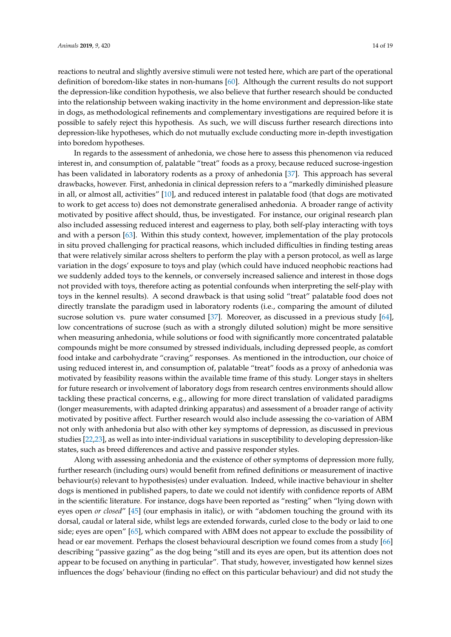reactions to neutral and slightly aversive stimuli were not tested here, which are part of the operational definition of boredom-like states in non-humans [\[60\]](#page-18-0). Although the current results do not support the depression-like condition hypothesis, we also believe that further research should be conducted into the relationship between waking inactivity in the home environment and depression-like state in dogs, as methodological refinements and complementary investigations are required before it is possible to safely reject this hypothesis. As such, we will discuss further research directions into depression-like hypotheses, which do not mutually exclude conducting more in-depth investigation into boredom hypotheses.

In regards to the assessment of anhedonia, we chose here to assess this phenomenon via reduced interest in, and consumption of, palatable "treat" foods as a proxy, because reduced sucrose-ingestion has been validated in laboratory rodents as a proxy of anhedonia [\[37\]](#page-17-0). This approach has several drawbacks, however. First, anhedonia in clinical depression refers to a "markedly diminished pleasure in all, or almost all, activities" [\[10\]](#page-15-7), and reduced interest in palatable food (that dogs are motivated to work to get access to) does not demonstrate generalised anhedonia. A broader range of activity motivated by positive affect should, thus, be investigated. For instance, our original research plan also included assessing reduced interest and eagerness to play, both self-play interacting with toys and with a person [\[63\]](#page-18-3). Within this study context, however, implementation of the play protocols in situ proved challenging for practical reasons, which included difficulties in finding testing areas that were relatively similar across shelters to perform the play with a person protocol, as well as large variation in the dogs' exposure to toys and play (which could have induced neophobic reactions had we suddenly added toys to the kennels, or conversely increased salience and interest in those dogs not provided with toys, therefore acting as potential confounds when interpreting the self-play with toys in the kennel results). A second drawback is that using solid "treat" palatable food does not directly translate the paradigm used in laboratory rodents (i.e., comparing the amount of diluted sucrose solution vs. pure water consumed [\[37\]](#page-17-0). Moreover, as discussed in a previous study [\[64\]](#page-18-4), low concentrations of sucrose (such as with a strongly diluted solution) might be more sensitive when measuring anhedonia, while solutions or food with significantly more concentrated palatable compounds might be more consumed by stressed individuals, including depressed people, as comfort food intake and carbohydrate "craving" responses. As mentioned in the introduction, our choice of using reduced interest in, and consumption of, palatable "treat" foods as a proxy of anhedonia was motivated by feasibility reasons within the available time frame of this study. Longer stays in shelters for future research or involvement of laboratory dogs from research centres environments should allow tackling these practical concerns, e.g., allowing for more direct translation of validated paradigms (longer measurements, with adapted drinking apparatus) and assessment of a broader range of activity motivated by positive affect. Further research would also include assessing the co-variation of ABM not only with anhedonia but also with other key symptoms of depression, as discussed in previous studies [\[22,](#page-16-7)[23\]](#page-16-15), as well as into inter-individual variations in susceptibility to developing depression-like states, such as breed differences and active and passive responder styles.

Along with assessing anhedonia and the existence of other symptoms of depression more fully, further research (including ours) would benefit from refined definitions or measurement of inactive behaviour(s) relevant to hypothesis(es) under evaluation. Indeed, while inactive behaviour in shelter dogs is mentioned in published papers, to date we could not identify with confidence reports of ABM in the scientific literature. For instance, dogs have been reported as "resting" when "lying down with eyes open *or closed*" [\[45\]](#page-17-20) (our emphasis in italic), or with "abdomen touching the ground with its dorsal, caudal or lateral side, whilst legs are extended forwards, curled close to the body or laid to one side; eyes are open" [\[65\]](#page-18-5), which compared with ABM does not appear to exclude the possibility of head or ear movement. Perhaps the closest behavioural description we found comes from a study [\[66\]](#page-18-6) describing "passive gazing" as the dog being "still and its eyes are open, but its attention does not appear to be focused on anything in particular". That study, however, investigated how kennel sizes influences the dogs' behaviour (finding no effect on this particular behaviour) and did not study the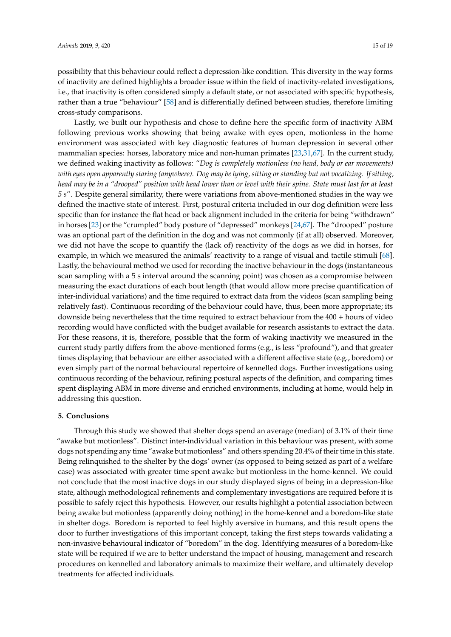possibility that this behaviour could reflect a depression-like condition. This diversity in the way forms of inactivity are defined highlights a broader issue within the field of inactivity-related investigations, i.e., that inactivity is often considered simply a default state, or not associated with specific hypothesis, rather than a true "behaviour" [\[58\]](#page-17-21) and is differentially defined between studies, therefore limiting cross-study comparisons.

Lastly, we built our hypothesis and chose to define here the specific form of inactivity ABM following previous works showing that being awake with eyes open, motionless in the home environment was associated with key diagnostic features of human depression in several other mammalian species: horses, laboratory mice and non-human primates [\[23,](#page-16-15)[31,](#page-16-16)[67\]](#page-18-7). In the current study, we defined waking inactivity as follows: "*Dog is completely motionless (no head, body or ear movements) with eyes open apparently staring (anywhere). Dog may be lying, sitting or standing but not vocalizing. If sitting, head may be in a "drooped" position with head lower than or level with their spine. State must last for at least 5 s*". Despite general similarity, there were variations from above-mentioned studies in the way we defined the inactive state of interest. First, postural criteria included in our dog definition were less specific than for instance the flat head or back alignment included in the criteria for being "withdrawn" in horses [\[23\]](#page-16-15) or the "crumpled" body posture of "depressed" monkeys [\[24,](#page-16-8)[67\]](#page-18-7). The "drooped" posture was an optional part of the definition in the dog and was not commonly (if at all) observed. Moreover, we did not have the scope to quantify the (lack of) reactivity of the dogs as we did in horses, for example, in which we measured the animals' reactivity to a range of visual and tactile stimuli [\[68\]](#page-18-8). Lastly, the behavioural method we used for recording the inactive behaviour in the dogs (instantaneous scan sampling with a 5 s interval around the scanning point) was chosen as a compromise between measuring the exact durations of each bout length (that would allow more precise quantification of inter-individual variations) and the time required to extract data from the videos (scan sampling being relatively fast). Continuous recording of the behaviour could have, thus, been more appropriate; its downside being nevertheless that the time required to extract behaviour from the 400 + hours of video recording would have conflicted with the budget available for research assistants to extract the data. For these reasons, it is, therefore, possible that the form of waking inactivity we measured in the current study partly differs from the above-mentioned forms (e.g., is less "profound"), and that greater times displaying that behaviour are either associated with a different affective state (e.g., boredom) or even simply part of the normal behavioural repertoire of kennelled dogs. Further investigations using continuous recording of the behaviour, refining postural aspects of the definition, and comparing times spent displaying ABM in more diverse and enriched environments, including at home, would help in addressing this question.

# **5. Conclusions**

Through this study we showed that shelter dogs spend an average (median) of 3.1% of their time "awake but motionless". Distinct inter-individual variation in this behaviour was present, with some dogs not spending any time "awake but motionless" and others spending 20.4% of their time in this state. Being relinquished to the shelter by the dogs' owner (as opposed to being seized as part of a welfare case) was associated with greater time spent awake but motionless in the home-kennel. We could not conclude that the most inactive dogs in our study displayed signs of being in a depression-like state, although methodological refinements and complementary investigations are required before it is possible to safely reject this hypothesis. However, our results highlight a potential association between being awake but motionless (apparently doing nothing) in the home-kennel and a boredom-like state in shelter dogs. Boredom is reported to feel highly aversive in humans, and this result opens the door to further investigations of this important concept, taking the first steps towards validating a non-invasive behavioural indicator of "boredom" in the dog. Identifying measures of a boredom-like state will be required if we are to better understand the impact of housing, management and research procedures on kennelled and laboratory animals to maximize their welfare, and ultimately develop treatments for affected individuals.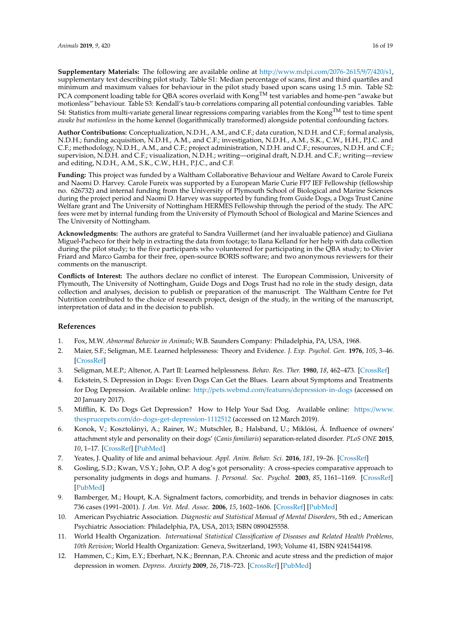**Supplementary Materials:** The following are available online at http://[www.mdpi.com](http://www.mdpi.com/2076-2615/9/7/420/s1)/2076-2615/9/7/420/s1, supplementary text describing pilot study. Table S1: Median percentage of scans, first and third quartiles and minimum and maximum values for behaviour in the pilot study based upon scans using 1.5 min. Table S2: PCA component loading table for QBA scores overlaid with Kong<sup>TM</sup> test variables and home-pen "awake but motionless" behaviour. Table S3: Kendall's tau-b correlations comparing all potential confounding variables. Table S4: Statistics from multi-variate general linear regressions comparing variables from the Kong<sup>TM</sup> test to time spent *awake but motionless* in the home kennel (logarithmically transformed) alongside potential confounding factors.

**Author Contributions:** Conceptualization, N.D.H., A.M., and C.F.; data curation, N.D.H. and C.F.; formal analysis, N.D.H.; funding acquisition, N.D.H., A.M., and C.F.; investigation, N.D.H., A.M., S.K., C.W., H.H., P.J.C. and C.F.; methodology, N.D.H., A.M., and C.F.; project administration, N.D.H. and C.F.; resources, N.D.H. and C.F.; supervision, N.D.H. and C.F.; visualization, N.D.H.; writing—original draft, N.D.H. and C.F.; writing—review and editing, N.D.H., A.M., S.K., C.W., H.H., P.J.C., and C.F.

**Funding:** This project was funded by a Waltham Collaborative Behaviour and Welfare Award to Carole Fureix and Naomi D. Harvey. Carole Fureix was supported by a European Marie Curie FP7 IEF Fellowship (fellowship no. 626732) and internal funding from the University of Plymouth School of Biological and Marine Sciences during the project period and Naomi D. Harvey was supported by funding from Guide Dogs, a Dogs Trust Canine Welfare grant and The University of Nottingham HERMES Fellowship through the period of the study. The APC fees were met by internal funding from the University of Plymouth School of Biological and Marine Sciences and The University of Nottingham.

**Acknowledgments:** The authors are grateful to Sandra Vuillermet (and her invaluable patience) and Giuliana Miguel-Pacheco for their help in extracting the data from footage; to Ilana Kelland for her help with data collection during the pilot study; to the five participants who volunteered for participating in the QBA study; to Olivier Friard and Marco Gamba for their free, open-source BORIS software; and two anonymous reviewers for their comments on the manuscript.

**Conflicts of Interest:** The authors declare no conflict of interest. The European Commission, University of Plymouth, The University of Nottingham, Guide Dogs and Dogs Trust had no role in the study design, data collection and analyses, decision to publish or preparation of the manuscript. The Waltham Centre for Pet Nutrition contributed to the choice of research project, design of the study, in the writing of the manuscript, interpretation of data and in the decision to publish.

# **References**

- <span id="page-15-0"></span>1. Fox, M.W. *Abnormal Behavior in Animals*; W.B. Saunders Company: Philadelphia, PA, USA, 1968.
- <span id="page-15-1"></span>2. Maier, S.F.; Seligman, M.E. Learned helplessness: Theory and Evidence. *J. Exp. Psychol. Gen.* **1976**, *105*, 3–46. [\[CrossRef\]](http://dx.doi.org/10.1037/0096-3445.105.1.3)
- <span id="page-15-2"></span>3. Seligman, M.E.P.; Altenor, A. Part II: Learned helplessness. *Behav. Res. Ther.* **1980**, *18*, 462–473. [\[CrossRef\]](http://dx.doi.org/10.1016/0005-7967(80)90012-1)
- <span id="page-15-3"></span>4. Eckstein, S. Depression in Dogs: Even Dogs Can Get the Blues. Learn about Symptoms and Treatments for Dog Depression. Available online: http://pets.webmd.com/features/[depression-in-dogs](http://pets.webmd.com/features/depression-in-dogs) (accessed on 20 January 2017).
- <span id="page-15-4"></span>5. Mifflin, K. Do Dogs Get Depression? How to Help Your Sad Dog. Available online: https://[www.](https://www.thesprucepets.com/do-dogs-get-depression-1112512) thesprucepets.com/[do-dogs-get-depression-1112512](https://www.thesprucepets.com/do-dogs-get-depression-1112512) (accessed on 12 March 2019).
- <span id="page-15-5"></span>6. Konok, V.; Kosztolányi, A.; Rainer, W.; Mutschler, B.; Halsband, U.; Miklósi, Á. Influence of owners' attachment style and personality on their dogs' (*Canis familiaris*) separation-related disorder. *PLoS ONE* **2015**, *10*, 1–17. [\[CrossRef\]](http://dx.doi.org/10.1371/journal.pone.0118375) [\[PubMed\]](http://www.ncbi.nlm.nih.gov/pubmed/25706147)
- 7. Yeates, J. Quality of life and animal behaviour. *Appl. Anim. Behav. Sci.* **2016**, *181*, 19–26. [\[CrossRef\]](http://dx.doi.org/10.1016/j.applanim.2016.04.018)
- 8. Gosling, S.D.; Kwan, V.S.Y.; John, O.P. A dog's got personality: A cross-species comparative approach to personality judgments in dogs and humans. *J. Personal. Soc. Psychol.* **2003**, *85*, 1161–1169. [\[CrossRef\]](http://dx.doi.org/10.1037/0022-3514.85.6.1161) [\[PubMed\]](http://www.ncbi.nlm.nih.gov/pubmed/14674821)
- <span id="page-15-6"></span>9. Bamberger, M.; Houpt, K.A. Signalment factors, comorbidity, and trends in behavior diagnoses in cats: 736 cases (1991–2001). *J. Am. Vet. Med. Assoc.* **2006**, *15*, 1602–1606. [\[CrossRef\]](http://dx.doi.org/10.2460/javma.229.10.1602) [\[PubMed\]](http://www.ncbi.nlm.nih.gov/pubmed/17107316)
- <span id="page-15-7"></span>10. American Psychiatric Association. *Diagnostic and Statistical Manual of Mental Disorders*, 5th ed.; American Psychiatric Association: Philadelphia, PA, USA, 2013; ISBN 0890425558.
- <span id="page-15-8"></span>11. World Health Organization. *International Statistical Classification of Diseases and Related Health Problems, 10th Revision*; World Health Organization: Geneva, Switzerland, 1993; Volume 41, ISBN 9241544198.
- <span id="page-15-9"></span>12. Hammen, C.; Kim, E.Y.; Eberhart, N.K.; Brennan, P.A. Chronic and acute stress and the prediction of major depression in women. *Depress. Anxiety* **2009**, *26*, 718–723. [\[CrossRef\]](http://dx.doi.org/10.1002/da.20571) [\[PubMed\]](http://www.ncbi.nlm.nih.gov/pubmed/19496077)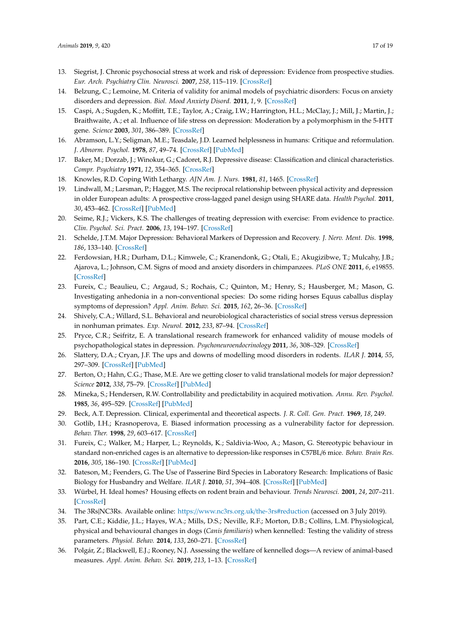- 13. Siegrist, J. Chronic psychosocial stress at work and risk of depression: Evidence from prospective studies. *Eur. Arch. Psychiatry Clin. Neurosci.* **2007**, *258*, 115–119. [\[CrossRef\]](http://dx.doi.org/10.1007/s00406-008-5024-0)
- <span id="page-16-9"></span>14. Belzung, C.; Lemoine, M. Criteria of validity for animal models of psychiatric disorders: Focus on anxiety disorders and depression. *Biol. Mood Anxiety Disord.* **2011**, *1*, 9. [\[CrossRef\]](http://dx.doi.org/10.1186/2045-5380-1-9)
- <span id="page-16-0"></span>15. Caspi, A.; Sugden, K.; Moffitt, T.E.; Taylor, A.; Craig, I.W.; Harrington, H.L.; McClay, J.; Mill, J.; Martin, J.; Braithwaite, A.; et al. Influence of life stress on depression: Moderation by a polymorphism in the 5-HTT gene. *Science* **2003**, *301*, 386–389. [\[CrossRef\]](http://dx.doi.org/10.1126/science.1083968)
- <span id="page-16-1"></span>16. Abramson, L.Y.; Seligman, M.E.; Teasdale, J.D. Learned helplessness in humans: Critique and reformulation. *J. Abnorm. Psychol.* **1978**, *87*, 49–74. [\[CrossRef\]](http://dx.doi.org/10.1037/0021-843X.87.1.49) [\[PubMed\]](http://www.ncbi.nlm.nih.gov/pubmed/649856)
- <span id="page-16-3"></span>17. Baker, M.; Dorzab, J.; Winokur, G.; Cadoret, R.J. Depressive disease: Classification and clinical characteristics. *Compr. Psychiatry* **1971**, *12*, 354–365. [\[CrossRef\]](http://dx.doi.org/10.1016/0010-440X(71)90073-3)
- <span id="page-16-4"></span>18. Knowles, R.D. Coping With Lethargy. *AJN Am. J. Nurs.* **1981**, *81*, 1465. [\[CrossRef\]](http://dx.doi.org/10.1097/00000446-198108000-00019)
- <span id="page-16-2"></span>19. Lindwall, M.; Larsman, P.; Hagger, M.S. The reciprocal relationship between physical activity and depression in older European adults: A prospective cross-lagged panel design using SHARE data. *Health Psychol.* **2011**, *30*, 453–462. [\[CrossRef\]](http://dx.doi.org/10.1037/a0023268) [\[PubMed\]](http://www.ncbi.nlm.nih.gov/pubmed/21480713)
- <span id="page-16-5"></span>20. Seime, R.J.; Vickers, K.S. The challenges of treating depression with exercise: From evidence to practice. *Clin. Psychol. Sci. Pract.* **2006**, *13*, 194–197. [\[CrossRef\]](http://dx.doi.org/10.1111/j.1468-2850.2006.00022.x)
- <span id="page-16-6"></span>21. Schelde, J.T.M. Major Depression: Behavioral Markers of Depression and Recovery. *J. Nerv. Ment. Dis.* **1998**, *186*, 133–140. [\[CrossRef\]](http://dx.doi.org/10.1097/00005053-199803000-00001)
- <span id="page-16-7"></span>22. Ferdowsian, H.R.; Durham, D.L.; Kimwele, C.; Kranendonk, G.; Otali, E.; Akugizibwe, T.; Mulcahy, J.B.; Ajarova, L.; Johnson, C.M. Signs of mood and anxiety disorders in chimpanzees. *PLoS ONE* **2011**, *6*, e19855. [\[CrossRef\]](http://dx.doi.org/10.1371/journal.pone.0019855)
- <span id="page-16-15"></span>23. Fureix, C.; Beaulieu, C.; Argaud, S.; Rochais, C.; Quinton, M.; Henry, S.; Hausberger, M.; Mason, G. Investigating anhedonia in a non-conventional species: Do some riding horses Equus caballus display symptoms of depression? *Appl. Anim. Behav. Sci.* **2015**, *162*, 26–36. [\[CrossRef\]](http://dx.doi.org/10.1016/j.applanim.2014.11.007)
- <span id="page-16-8"></span>24. Shively, C.A.; Willard, S.L. Behavioral and neurobiological characteristics of social stress versus depression in nonhuman primates. *Exp. Neurol.* **2012**, *233*, 87–94. [\[CrossRef\]](http://dx.doi.org/10.1016/j.expneurol.2011.09.026)
- <span id="page-16-10"></span>25. Pryce, C.R.; Seifritz, E. A translational research framework for enhanced validity of mouse models of psychopathological states in depression. *Psychoneuroendocrinology* **2011**, *36*, 308–329. [\[CrossRef\]](http://dx.doi.org/10.1016/j.psyneuen.2010.05.003)
- <span id="page-16-22"></span>26. Slattery, D.A.; Cryan, J.F. The ups and downs of modelling mood disorders in rodents. *ILAR J.* **2014**, *55*, 297–309. [\[CrossRef\]](http://dx.doi.org/10.1093/ilar/ilu026) [\[PubMed\]](http://www.ncbi.nlm.nih.gov/pubmed/25225308)
- <span id="page-16-11"></span>27. Berton, O.; Hahn, C.G.; Thase, M.E. Are we getting closer to valid translational models for major depression? *Science* **2012**, *338*, 75–79. [\[CrossRef\]](http://dx.doi.org/10.1126/science.1222940) [\[PubMed\]](http://www.ncbi.nlm.nih.gov/pubmed/23042886)
- <span id="page-16-12"></span>28. Mineka, S.; Hendersen, R.W. Controllability and predictability in acquired motivation. *Annu. Rev. Psychol.* **1985**, *36*, 495–529. [\[CrossRef\]](http://dx.doi.org/10.1146/annurev.ps.36.020185.002431) [\[PubMed\]](http://www.ncbi.nlm.nih.gov/pubmed/3919637)
- <span id="page-16-13"></span>29. Beck, A.T. Depression. Clinical, experimental and theoretical aspects. *J. R. Coll. Gen. Pract.* **1969**, *18*, 249.
- <span id="page-16-14"></span>30. Gotlib, I.H.; Krasnoperova, E. Biased information processing as a vulnerability factor for depression. *Behav. Ther.* **1998**, *29*, 603–617. [\[CrossRef\]](http://dx.doi.org/10.1016/S0005-7894(98)80020-8)
- <span id="page-16-16"></span>31. Fureix, C.; Walker, M.; Harper, L.; Reynolds, K.; Saldivia-Woo, A.; Mason, G. Stereotypic behaviour in standard non-enriched cages is an alternative to depression-like responses in C57BL/6 mice. *Behav. Brain Res.* **2016**, *305*, 186–190. [\[CrossRef\]](http://dx.doi.org/10.1016/j.bbr.2016.02.005) [\[PubMed\]](http://www.ncbi.nlm.nih.gov/pubmed/26876137)
- <span id="page-16-17"></span>32. Bateson, M.; Feenders, G. The Use of Passerine Bird Species in Laboratory Research: Implications of Basic Biology for Husbandry and Welfare. *ILAR J.* **2010**, *51*, 394–408. [\[CrossRef\]](http://dx.doi.org/10.1093/ilar.51.4.394) [\[PubMed\]](http://www.ncbi.nlm.nih.gov/pubmed/21131716)
- <span id="page-16-18"></span>33. Würbel, H. Ideal homes? Housing effects on rodent brain and behaviour. *Trends Neurosci.* **2001**, *24*, 207–211. [\[CrossRef\]](http://dx.doi.org/10.1016/S0166-2236(00)01718-5)
- <span id="page-16-19"></span>34. The 3Rs|NC3Rs. Available online: https://[www.nc3rs.org.uk](https://www.nc3rs.org.uk/the-3rs#reduction)/the-3rs#reduction (accessed on 3 July 2019).
- <span id="page-16-20"></span>35. Part, C.E.; Kiddie, J.L.; Hayes, W.A.; Mills, D.S.; Neville, R.F.; Morton, D.B.; Collins, L.M. Physiological, physical and behavioural changes in dogs (*Canis familiaris*) when kennelled: Testing the validity of stress parameters. *Physiol. Behav.* **2014**, *133*, 260–271. [\[CrossRef\]](http://dx.doi.org/10.1016/j.physbeh.2014.05.018)
- <span id="page-16-21"></span>36. Polgár, Z.; Blackwell, E.J.; Rooney, N.J. Assessing the welfare of kennelled dogs—A review of animal-based measures. *Appl. Anim. Behav. Sci.* **2019**, *213*, 1–13. [\[CrossRef\]](http://dx.doi.org/10.1016/j.applanim.2019.02.013)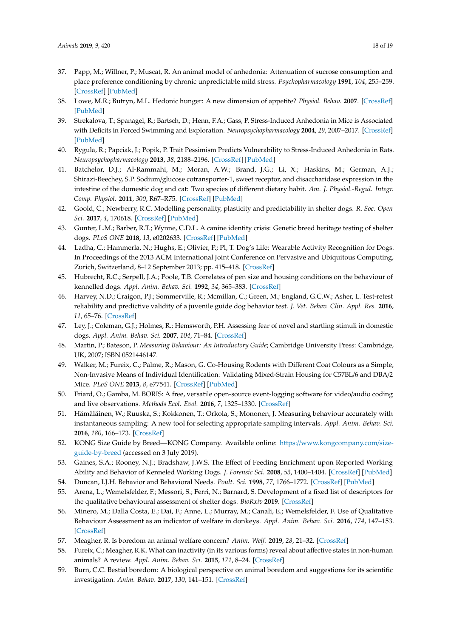- <span id="page-17-0"></span>37. Papp, M.; Willner, P.; Muscat, R. An animal model of anhedonia: Attenuation of sucrose consumption and place preference conditioning by chronic unpredictable mild stress. *Psychopharmacology* **1991**, *104*, 255–259. [\[CrossRef\]](http://dx.doi.org/10.1007/BF02244188) [\[PubMed\]](http://www.ncbi.nlm.nih.gov/pubmed/1876670)
- <span id="page-17-1"></span>38. Lowe, M.R.; Butryn, M.L. Hedonic hunger: A new dimension of appetite? *Physiol. Behav.* **2007**. [\[CrossRef\]](http://dx.doi.org/10.1016/j.physbeh.2007.04.006) [\[PubMed\]](http://www.ncbi.nlm.nih.gov/pubmed/17531274)
- <span id="page-17-2"></span>39. Strekalova, T.; Spanagel, R.; Bartsch, D.; Henn, F.A.; Gass, P. Stress-Induced Anhedonia in Mice is Associated with Deficits in Forced Swimming and Exploration. *Neuropsychopharmacology* **2004**, *29*, 2007–2017. [\[CrossRef\]](http://dx.doi.org/10.1038/sj.npp.1300532) [\[PubMed\]](http://www.ncbi.nlm.nih.gov/pubmed/15266352)
- <span id="page-17-3"></span>40. Rygula, R.; Papciak, J.; Popik, P. Trait Pessimism Predicts Vulnerability to Stress-Induced Anhedonia in Rats. *Neuropsychopharmacology* **2013**, *38*, 2188–2196. [\[CrossRef\]](http://dx.doi.org/10.1038/npp.2013.116) [\[PubMed\]](http://www.ncbi.nlm.nih.gov/pubmed/23660704)
- <span id="page-17-4"></span>41. Batchelor, D.J.; Al-Rammahi, M.; Moran, A.W.; Brand, J.G.; Li, X.; Haskins, M.; German, A.J.; Shirazi-Beechey, S.P. Sodium/glucose cotransporter-1, sweet receptor, and disaccharidase expression in the intestine of the domestic dog and cat: Two species of different dietary habit. *Am. J. Physiol.-Regul. Integr. Comp. Physiol.* **2011**, *300*, R67–R75. [\[CrossRef\]](http://dx.doi.org/10.1152/ajpregu.00262.2010) [\[PubMed\]](http://www.ncbi.nlm.nih.gov/pubmed/20980625)
- <span id="page-17-5"></span>42. Goold, C.; Newberry, R.C. Modelling personality, plasticity and predictability in shelter dogs. *R. Soc. Open Sci.* **2017**, *4*, 170618. [\[CrossRef\]](http://dx.doi.org/10.1098/rsos.170618) [\[PubMed\]](http://www.ncbi.nlm.nih.gov/pubmed/28989764)
- <span id="page-17-6"></span>43. Gunter, L.M.; Barber, R.T.; Wynne, C.D.L. A canine identity crisis: Genetic breed heritage testing of shelter dogs. *PLoS ONE* **2018**, *13*, e0202633. [\[CrossRef\]](http://dx.doi.org/10.1371/journal.pone.0202633) [\[PubMed\]](http://www.ncbi.nlm.nih.gov/pubmed/30138476)
- <span id="page-17-7"></span>44. Ladha, C.; Hammerla, N.; Hughs, E.; Olivier, P.; Pl, T. Dog's Life: Wearable Activity Recognition for Dogs. In Proceedings of the 2013 ACM International Joint Conference on Pervasive and Ubiquitous Computing, Zurich, Switzerland, 8–12 September 2013; pp. 415–418. [\[CrossRef\]](http://dx.doi.org/10.1145/2493432.2493519)
- <span id="page-17-20"></span>45. Hubrecht, R.C.; Serpell, J.A.; Poole, T.B. Correlates of pen size and housing conditions on the behaviour of kennelled dogs. *Appl. Anim. Behav. Sci.* **1992**, *34*, 365–383. [\[CrossRef\]](http://dx.doi.org/10.1016/S0168-1591(05)80096-6)
- 46. Harvey, N.D.; Craigon, P.J.; Sommerville, R.; Mcmillan, C.; Green, M.; England, G.C.W.; Asher, L. Test-retest reliability and predictive validity of a juvenile guide dog behavior test. *J. Vet. Behav. Clin. Appl. Res.* **2016**, *11*, 65–76. [\[CrossRef\]](http://dx.doi.org/10.1016/j.jveb.2015.09.005)
- <span id="page-17-8"></span>47. Ley, J.; Coleman, G.J.; Holmes, R.; Hemsworth, P.H. Assessing fear of novel and startling stimuli in domestic dogs. *Appl. Anim. Behav. Sci.* **2007**, *104*, 71–84. [\[CrossRef\]](http://dx.doi.org/10.1016/j.applanim.2006.03.021)
- <span id="page-17-9"></span>48. Martin, P.; Bateson, P. *Measuring Behaviour: An Introductory Guide*; Cambridge University Press: Cambridge, UK, 2007; ISBN 0521446147.
- <span id="page-17-10"></span>49. Walker, M.; Fureix, C.; Palme, R.; Mason, G. Co-Housing Rodents with Different Coat Colours as a Simple, Non-Invasive Means of Individual Identification: Validating Mixed-Strain Housing for C57BL/6 and DBA/2 Mice. *PLoS ONE* **2013**, *8*, e77541. [\[CrossRef\]](http://dx.doi.org/10.1371/journal.pone.0077541) [\[PubMed\]](http://www.ncbi.nlm.nih.gov/pubmed/24204864)
- <span id="page-17-11"></span>50. Friard, O.; Gamba, M. BORIS: A free, versatile open-source event-logging software for video/audio coding and live observations. *Methods Ecol. Evol.* **2016**, *7*, 1325–1330. [\[CrossRef\]](http://dx.doi.org/10.1111/2041-210X.12584)
- <span id="page-17-12"></span>51. Hämäläinen, W.; Ruuska, S.; Kokkonen, T.; Orkola, S.; Mononen, J. Measuring behaviour accurately with instantaneous sampling: A new tool for selecting appropriate sampling intervals. *Appl. Anim. Behav. Sci.* **2016**, *180*, 166–173. [\[CrossRef\]](http://dx.doi.org/10.1016/j.applanim.2016.04.006)
- <span id="page-17-13"></span>52. KONG Size Guide by Breed—KONG Company. Available online: https://[www.kongcompany.com](https://www.kongcompany.com/size-guide-by-breed)/size[guide-by-breed](https://www.kongcompany.com/size-guide-by-breed) (accessed on 3 July 2019).
- <span id="page-17-14"></span>53. Gaines, S.A.; Rooney, N.J.; Bradshaw, J.W.S. The Effect of Feeding Enrichment upon Reported Working Ability and Behavior of Kenneled Working Dogs. *J. Forensic Sci.* **2008**, *53*, 1400–1404. [\[CrossRef\]](http://dx.doi.org/10.1111/j.1556-4029.2008.00879.x) [\[PubMed\]](http://www.ncbi.nlm.nih.gov/pubmed/18808374)
- <span id="page-17-15"></span>54. Duncan, I.J.H. Behavior and Behavioral Needs. *Poult. Sci.* **1998**, *77*, 1766–1772. [\[CrossRef\]](http://dx.doi.org/10.1093/ps/77.12.1766) [\[PubMed\]](http://www.ncbi.nlm.nih.gov/pubmed/9872577)
- <span id="page-17-16"></span>55. Arena, L.; Wemelsfelder, F.; Messori, S.; Ferri, N.; Barnard, S. Development of a fixed list of descriptors for the qualitative behavioural assessment of shelter dogs. *BioRxiv* **2019**. [\[CrossRef\]](http://dx.doi.org/10.1101/545020)
- <span id="page-17-17"></span>56. Minero, M.; Dalla Costa, E.; Dai, F.; Anne, L.; Murray, M.; Canali, E.; Wemelsfelder, F. Use of Qualitative Behaviour Assessment as an indicator of welfare in donkeys. *Appl. Anim. Behav. Sci.* **2016**, *174*, 147–153. [\[CrossRef\]](http://dx.doi.org/10.1016/j.applanim.2015.10.010)
- <span id="page-17-18"></span>57. Meagher, R. Is boredom an animal welfare concern? *Anim. Welf.* **2019**, *28*, 21–32. [\[CrossRef\]](http://dx.doi.org/10.7120/09627286.28.1.021)
- <span id="page-17-21"></span>58. Fureix, C.; Meagher, R.K. What can inactivity (in its various forms) reveal about affective states in non-human animals? A review. *Appl. Anim. Behav. Sci.* **2015**, *171*, 8–24. [\[CrossRef\]](http://dx.doi.org/10.1016/j.applanim.2015.08.036)
- <span id="page-17-19"></span>59. Burn, C.C. Bestial boredom: A biological perspective on animal boredom and suggestions for its scientific investigation. *Anim. Behav.* **2017**, *130*, 141–151. [\[CrossRef\]](http://dx.doi.org/10.1016/j.anbehav.2017.06.006)